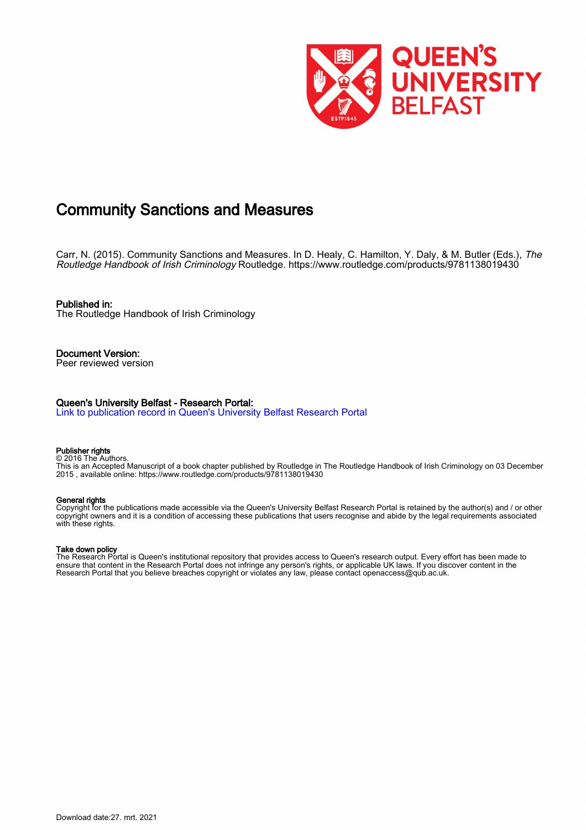

# Community Sanctions and Measures

Carr, N. (2015). Community Sanctions and Measures. In D. Healy, C. Hamilton, Y. Daly, & M. Butler (Eds.), The Routledge Handbook of Irish Criminology Routledge.<https://www.routledge.com/products/9781138019430>

Published in: The Routledge Handbook of Irish Criminology

Document Version: Peer reviewed version

#### Queen's University Belfast - Research Portal:

[Link to publication record in Queen's University Belfast Research Portal](https://pure.qub.ac.uk/en/publications/community-sanctions-and-measures(7fafbe58-2195-4b42-9d2a-398171dbb759).html)

#### Publisher rights © 2016 The Authors.

This is an Accepted Manuscript of a book chapter published by Routledge in The Routledge Handbook of Irish Criminology on 03 December 2015 , available online: https://www.routledge.com/products/9781138019430

#### General rights

Copyright for the publications made accessible via the Queen's University Belfast Research Portal is retained by the author(s) and / or other copyright owners and it is a condition of accessing these publications that users recognise and abide by the legal requirements associated with these rights.

#### Take down policy

The Research Portal is Queen's institutional repository that provides access to Queen's research output. Every effort has been made to ensure that content in the Research Portal does not infringe any person's rights, or applicable UK laws. If you discover content in the Research Portal that you believe breaches copyright or violates any law, please contact openaccess@qub.ac.uk.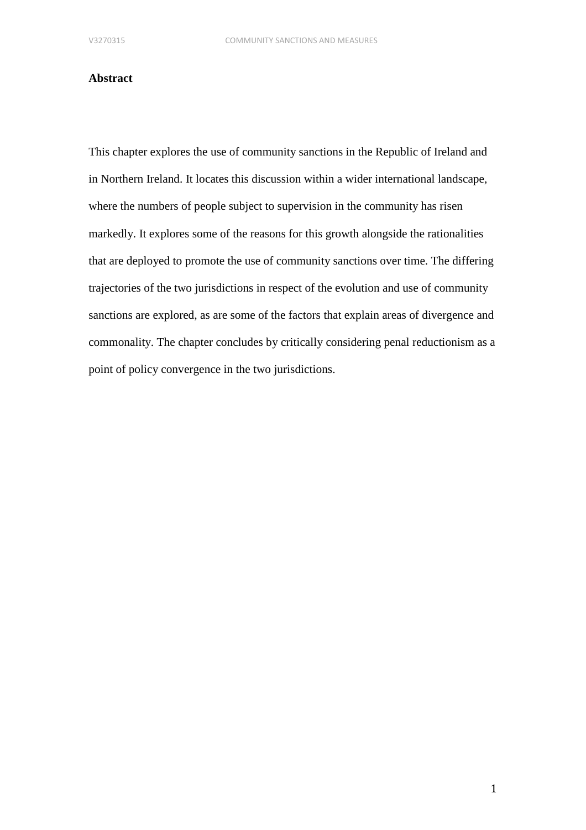### **Abstract**

This chapter explores the use of community sanctions in the Republic of Ireland and in Northern Ireland. It locates this discussion within a wider international landscape, where the numbers of people subject to supervision in the community has risen markedly. It explores some of the reasons for this growth alongside the rationalities that are deployed to promote the use of community sanctions over time. The differing trajectories of the two jurisdictions in respect of the evolution and use of community sanctions are explored, as are some of the factors that explain areas of divergence and commonality. The chapter concludes by critically considering penal reductionism as a point of policy convergence in the two jurisdictions.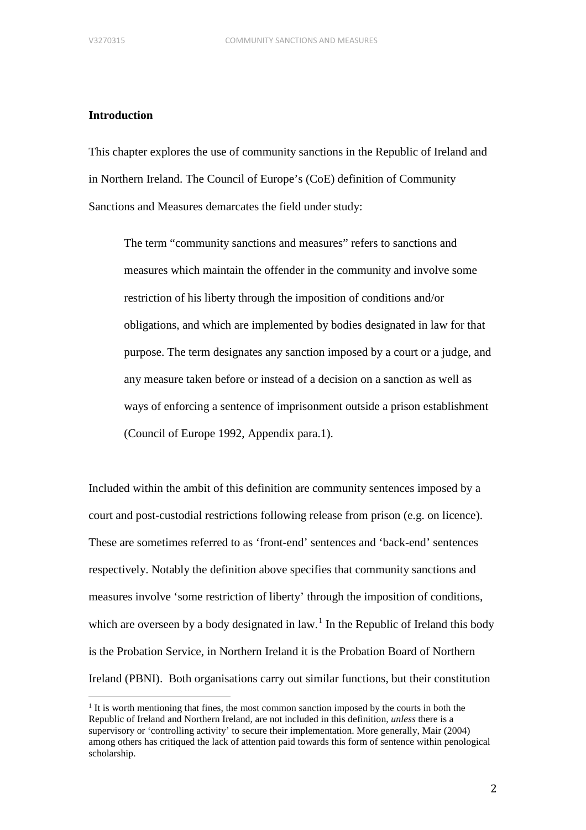## **Introduction**

This chapter explores the use of community sanctions in the Republic of Ireland and in Northern Ireland. The Council of Europe's (CoE) definition of Community Sanctions and Measures demarcates the field under study:

The term "community sanctions and measures" refers to sanctions and measures which maintain the offender in the community and involve some restriction of his liberty through the imposition of conditions and/or obligations, and which are implemented by bodies designated in law for that purpose. The term designates any sanction imposed by a court or a judge, and any measure taken before or instead of a decision on a sanction as well as ways of enforcing a sentence of imprisonment outside a prison establishment (Council of Europe 1992, Appendix para.1).

Included within the ambit of this definition are community sentences imposed by a court and post-custodial restrictions following release from prison (e.g. on licence). These are sometimes referred to as 'front-end' sentences and 'back-end' sentences respectively. Notably the definition above specifies that community sanctions and measures involve 'some restriction of liberty' through the imposition of conditions, which are overseen by a body designated in  $law$ .<sup>[1](#page-2-0)</sup> In the Republic of Ireland this body is the Probation Service, in Northern Ireland it is the Probation Board of Northern Ireland (PBNI). Both organisations carry out similar functions, but their constitution

<span id="page-2-0"></span> $<sup>1</sup>$  It is worth mentioning that fines, the most common sanction imposed by the courts in both the</sup> Republic of Ireland and Northern Ireland, are not included in this definition, *unless* there is a supervisory or 'controlling activity' to secure their implementation. More generally, Mair (2004) among others has critiqued the lack of attention paid towards this form of sentence within penological scholarship.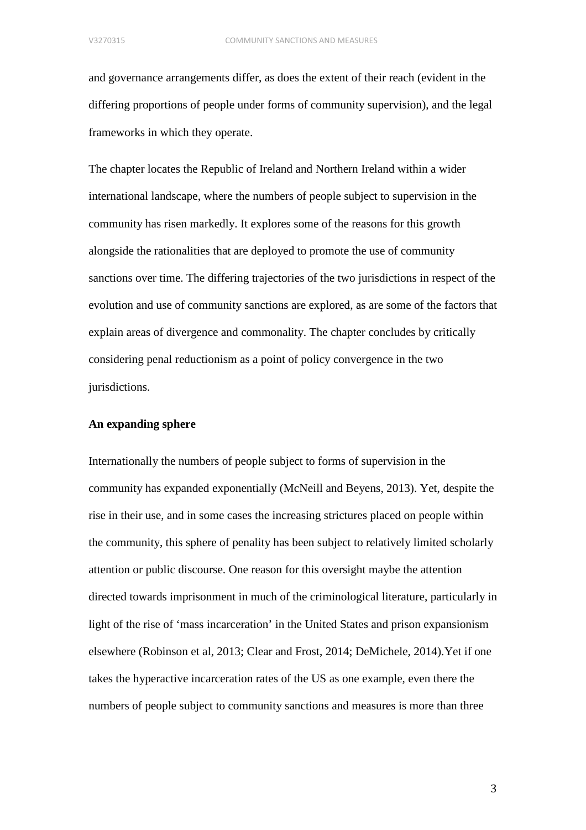and governance arrangements differ, as does the extent of their reach (evident in the differing proportions of people under forms of community supervision), and the legal frameworks in which they operate.

The chapter locates the Republic of Ireland and Northern Ireland within a wider international landscape, where the numbers of people subject to supervision in the community has risen markedly. It explores some of the reasons for this growth alongside the rationalities that are deployed to promote the use of community sanctions over time. The differing trajectories of the two jurisdictions in respect of the evolution and use of community sanctions are explored, as are some of the factors that explain areas of divergence and commonality. The chapter concludes by critically considering penal reductionism as a point of policy convergence in the two jurisdictions.

### **An expanding sphere**

Internationally the numbers of people subject to forms of supervision in the community has expanded exponentially (McNeill and Beyens, 2013). Yet, despite the rise in their use, and in some cases the increasing strictures placed on people within the community, this sphere of penality has been subject to relatively limited scholarly attention or public discourse. One reason for this oversight maybe the attention directed towards imprisonment in much of the criminological literature, particularly in light of the rise of 'mass incarceration' in the United States and prison expansionism elsewhere (Robinson et al, 2013; Clear and Frost, 2014; DeMichele, 2014).Yet if one takes the hyperactive incarceration rates of the US as one example, even there the numbers of people subject to community sanctions and measures is more than three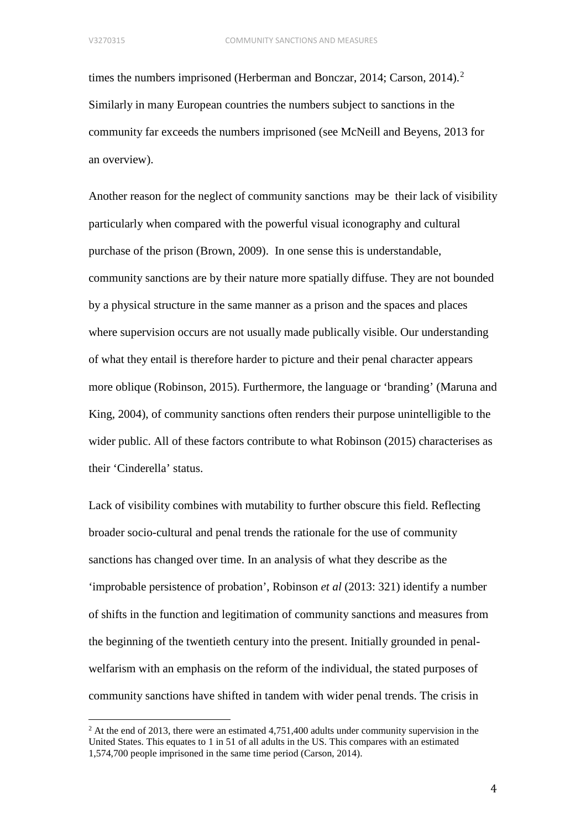times the numbers imprisoned (Herberman and Bonczar, 2014; Carson, 2014). [2](#page-4-0) Similarly in many European countries the numbers subject to sanctions in the community far exceeds the numbers imprisoned (see McNeill and Beyens, 2013 for an overview).

Another reason for the neglect of community sanctions may be their lack of visibility particularly when compared with the powerful visual iconography and cultural purchase of the prison (Brown, 2009). In one sense this is understandable, community sanctions are by their nature more spatially diffuse. They are not bounded by a physical structure in the same manner as a prison and the spaces and places where supervision occurs are not usually made publically visible. Our understanding of what they entail is therefore harder to picture and their penal character appears more oblique (Robinson, 2015). Furthermore, the language or 'branding' (Maruna and King, 2004), of community sanctions often renders their purpose unintelligible to the wider public. All of these factors contribute to what Robinson (2015) characterises as their 'Cinderella' status.

Lack of visibility combines with mutability to further obscure this field. Reflecting broader socio-cultural and penal trends the rationale for the use of community sanctions has changed over time. In an analysis of what they describe as the 'improbable persistence of probation', Robinson *et al* (2013: 321) identify a number of shifts in the function and legitimation of community sanctions and measures from the beginning of the twentieth century into the present. Initially grounded in penalwelfarism with an emphasis on the reform of the individual, the stated purposes of community sanctions have shifted in tandem with wider penal trends. The crisis in

<span id="page-4-0"></span> $^{2}$  At the end of 2013, there were an estimated 4,751,400 adults under community supervision in the United States. This equates to 1 in 51 of all adults in the US. This compares with an estimated 1,574,700 people imprisoned in the same time period (Carson, 2014).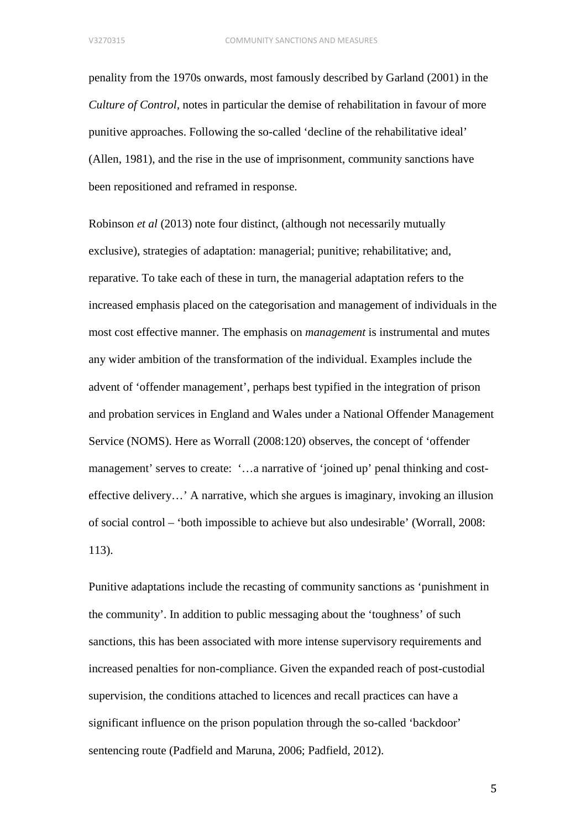penality from the 1970s onwards, most famously described by Garland (2001) in the *Culture of Control,* notes in particular the demise of rehabilitation in favour of more punitive approaches. Following the so-called 'decline of the rehabilitative ideal' (Allen, 1981), and the rise in the use of imprisonment, community sanctions have been repositioned and reframed in response.

Robinson *et al* (2013) note four distinct, (although not necessarily mutually exclusive), strategies of adaptation: managerial; punitive; rehabilitative; and, reparative. To take each of these in turn, the managerial adaptation refers to the increased emphasis placed on the categorisation and management of individuals in the most cost effective manner. The emphasis on *management* is instrumental and mutes any wider ambition of the transformation of the individual. Examples include the advent of 'offender management', perhaps best typified in the integration of prison and probation services in England and Wales under a National Offender Management Service (NOMS). Here as Worrall (2008:120) observes, the concept of 'offender management' serves to create: '…a narrative of 'joined up' penal thinking and costeffective delivery…' A narrative, which she argues is imaginary, invoking an illusion of social control – 'both impossible to achieve but also undesirable' (Worrall, 2008: 113).

Punitive adaptations include the recasting of community sanctions as 'punishment in the community'. In addition to public messaging about the 'toughness' of such sanctions, this has been associated with more intense supervisory requirements and increased penalties for non-compliance. Given the expanded reach of post-custodial supervision, the conditions attached to licences and recall practices can have a significant influence on the prison population through the so-called 'backdoor' sentencing route (Padfield and Maruna, 2006; Padfield, 2012).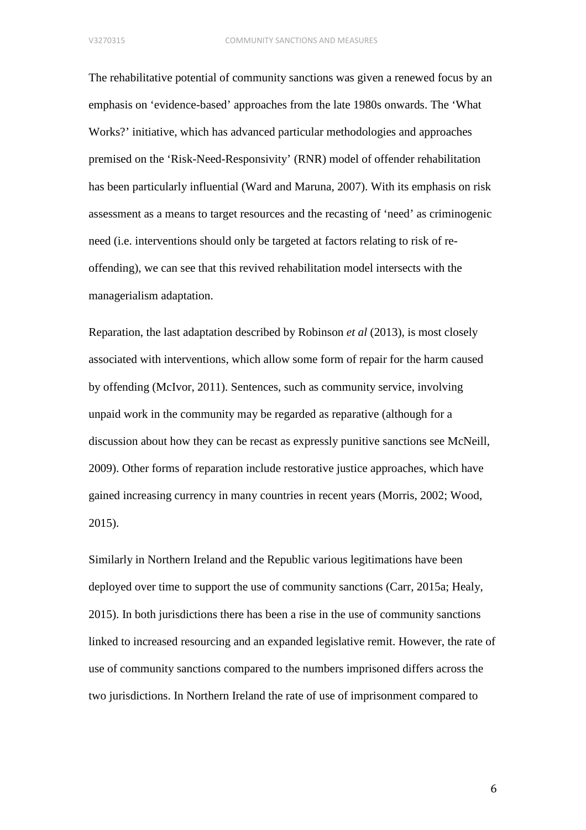The rehabilitative potential of community sanctions was given a renewed focus by an emphasis on 'evidence-based' approaches from the late 1980s onwards. The 'What Works?' initiative, which has advanced particular methodologies and approaches premised on the 'Risk-Need-Responsivity' (RNR) model of offender rehabilitation has been particularly influential (Ward and Maruna, 2007). With its emphasis on risk assessment as a means to target resources and the recasting of 'need' as criminogenic need (i.e. interventions should only be targeted at factors relating to risk of reoffending), we can see that this revived rehabilitation model intersects with the managerialism adaptation.

Reparation, the last adaptation described by Robinson *et al* (2013), is most closely associated with interventions, which allow some form of repair for the harm caused by offending (McIvor, 2011). Sentences, such as community service, involving unpaid work in the community may be regarded as reparative (although for a discussion about how they can be recast as expressly punitive sanctions see McNeill, 2009). Other forms of reparation include restorative justice approaches, which have gained increasing currency in many countries in recent years (Morris, 2002; Wood, 2015).

Similarly in Northern Ireland and the Republic various legitimations have been deployed over time to support the use of community sanctions (Carr, 2015a; Healy, 2015). In both jurisdictions there has been a rise in the use of community sanctions linked to increased resourcing and an expanded legislative remit. However, the rate of use of community sanctions compared to the numbers imprisoned differs across the two jurisdictions. In Northern Ireland the rate of use of imprisonment compared to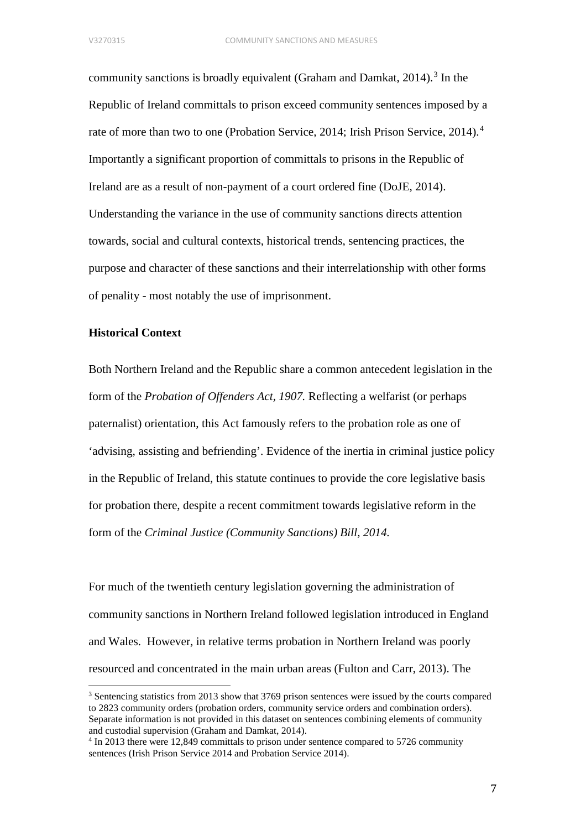community sanctions is broadly equivalent (Graham and Damkat,  $2014$ ).<sup>[3](#page-7-0)</sup> In the Republic of Ireland committals to prison exceed community sentences imposed by a rate of more than two to one (Probation Service, 2014; Irish Prison Service, 2014). [4](#page-7-1) Importantly a significant proportion of committals to prisons in the Republic of Ireland are as a result of non-payment of a court ordered fine (DoJE, 2014). Understanding the variance in the use of community sanctions directs attention towards, social and cultural contexts, historical trends, sentencing practices, the purpose and character of these sanctions and their interrelationship with other forms of penality - most notably the use of imprisonment.

### **Historical Context**

Both Northern Ireland and the Republic share a common antecedent legislation in the form of the *Probation of Offenders Act, 1907.* Reflecting a welfarist (or perhaps paternalist) orientation, this Act famously refers to the probation role as one of 'advising, assisting and befriending'. Evidence of the inertia in criminal justice policy in the Republic of Ireland, this statute continues to provide the core legislative basis for probation there, despite a recent commitment towards legislative reform in the form of the *Criminal Justice (Community Sanctions) Bill, 2014.*

For much of the twentieth century legislation governing the administration of community sanctions in Northern Ireland followed legislation introduced in England and Wales. However, in relative terms probation in Northern Ireland was poorly resourced and concentrated in the main urban areas (Fulton and Carr, 2013). The

<span id="page-7-0"></span><sup>&</sup>lt;sup>3</sup> Sentencing statistics from 2013 show that 3769 prison sentences were issued by the courts compared to 2823 community orders (probation orders, community service orders and combination orders). Separate information is not provided in this dataset on sentences combining elements of community and custodial supervision (Graham and Damkat, 2014).

<span id="page-7-1"></span><sup>4</sup> In 2013 there were 12,849 committals to prison under sentence compared to 5726 community sentences (Irish Prison Service 2014 and Probation Service 2014).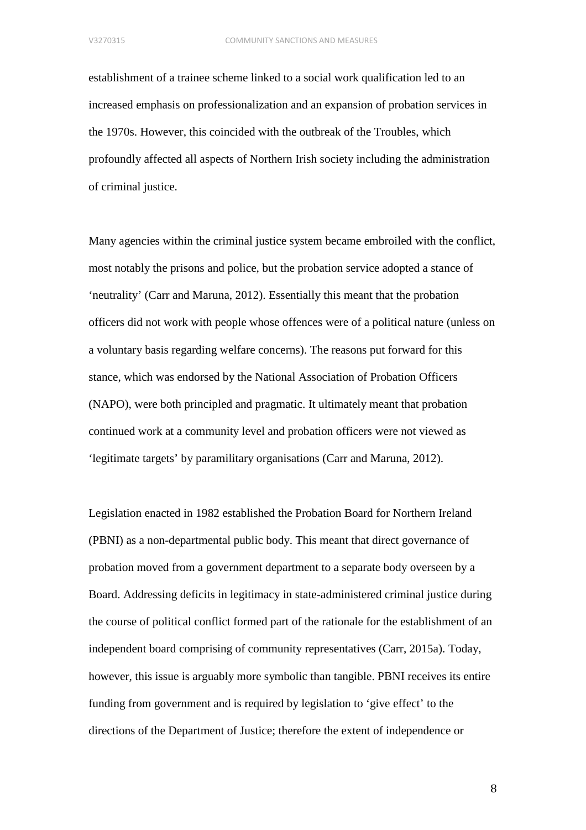establishment of a trainee scheme linked to a social work qualification led to an increased emphasis on professionalization and an expansion of probation services in the 1970s. However, this coincided with the outbreak of the Troubles, which profoundly affected all aspects of Northern Irish society including the administration of criminal justice.

Many agencies within the criminal justice system became embroiled with the conflict, most notably the prisons and police, but the probation service adopted a stance of 'neutrality' (Carr and Maruna, 2012). Essentially this meant that the probation officers did not work with people whose offences were of a political nature (unless on a voluntary basis regarding welfare concerns). The reasons put forward for this stance, which was endorsed by the National Association of Probation Officers (NAPO), were both principled and pragmatic. It ultimately meant that probation continued work at a community level and probation officers were not viewed as 'legitimate targets' by paramilitary organisations (Carr and Maruna, 2012).

Legislation enacted in 1982 established the Probation Board for Northern Ireland (PBNI) as a non-departmental public body. This meant that direct governance of probation moved from a government department to a separate body overseen by a Board. Addressing deficits in legitimacy in state-administered criminal justice during the course of political conflict formed part of the rationale for the establishment of an independent board comprising of community representatives (Carr, 2015a). Today, however, this issue is arguably more symbolic than tangible. PBNI receives its entire funding from government and is required by legislation to 'give effect' to the directions of the Department of Justice; therefore the extent of independence or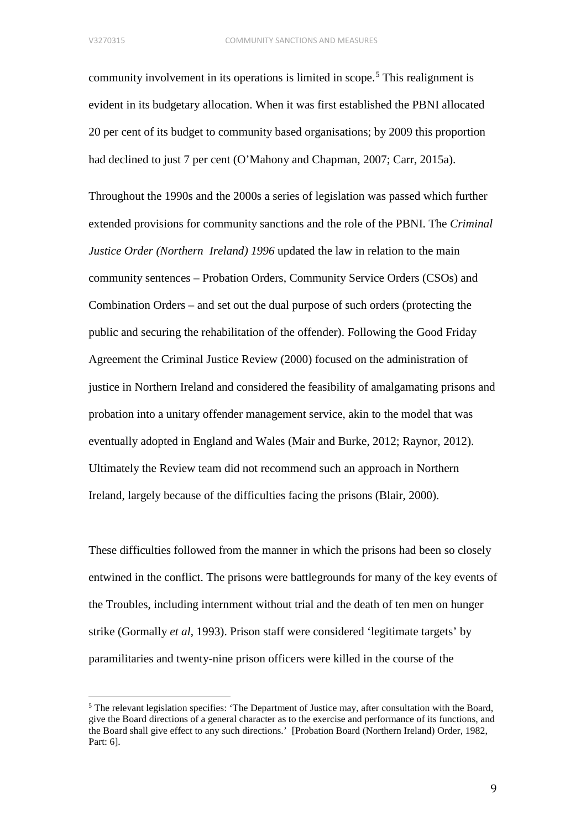community involvement in its operations is limited in scope. [5](#page-9-0) This realignment is evident in its budgetary allocation. When it was first established the PBNI allocated 20 per cent of its budget to community based organisations; by 2009 this proportion had declined to just 7 per cent (O'Mahony and Chapman, 2007; Carr, 2015a).

Throughout the 1990s and the 2000s a series of legislation was passed which further extended provisions for community sanctions and the role of the PBNI. The *Criminal Justice Order (Northern Ireland) 1996* updated the law in relation to the main community sentences – Probation Orders, Community Service Orders (CSOs) and Combination Orders – and set out the dual purpose of such orders (protecting the public and securing the rehabilitation of the offender). Following the Good Friday Agreement the Criminal Justice Review (2000) focused on the administration of justice in Northern Ireland and considered the feasibility of amalgamating prisons and probation into a unitary offender management service, akin to the model that was eventually adopted in England and Wales (Mair and Burke, 2012; Raynor, 2012). Ultimately the Review team did not recommend such an approach in Northern Ireland, largely because of the difficulties facing the prisons (Blair, 2000).

These difficulties followed from the manner in which the prisons had been so closely entwined in the conflict. The prisons were battlegrounds for many of the key events of the Troubles, including internment without trial and the death of ten men on hunger strike (Gormally *et al*, 1993). Prison staff were considered 'legitimate targets' by paramilitaries and twenty-nine prison officers were killed in the course of the

<span id="page-9-0"></span><sup>&</sup>lt;sup>5</sup> The relevant legislation specifies: 'The Department of Justice may, after consultation with the Board, give the Board directions of a general character as to the exercise and performance of its functions, and the Board shall give effect to any such directions.' [Probation Board (Northern Ireland) Order, 1982, Part: 6].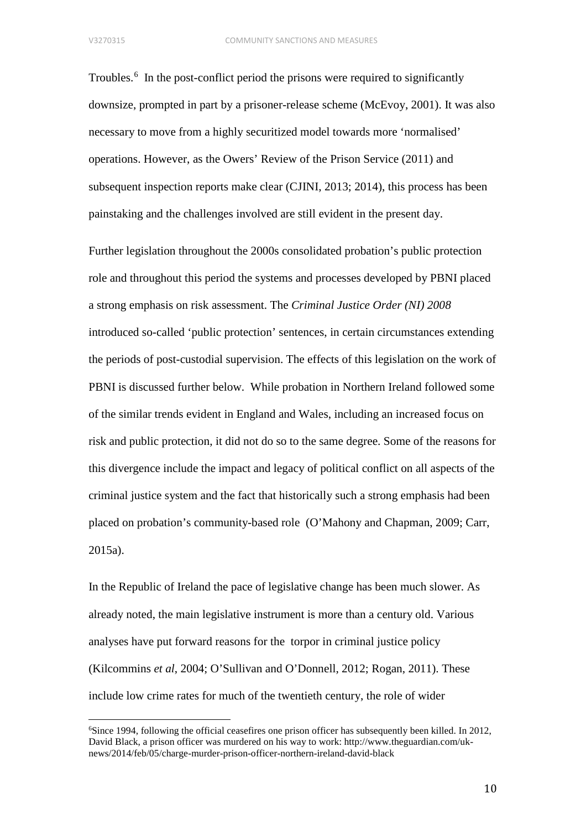Troubles. [6](#page-10-0) In the post-conflict period the prisons were required to significantly downsize, prompted in part by a prisoner-release scheme (McEvoy, 2001). It was also necessary to move from a highly securitized model towards more 'normalised' operations. However, as the Owers' Review of the Prison Service (2011) and subsequent inspection reports make clear (CJINI, 2013; 2014), this process has been painstaking and the challenges involved are still evident in the present day.

Further legislation throughout the 2000s consolidated probation's public protection role and throughout this period the systems and processes developed by PBNI placed a strong emphasis on risk assessment. The *Criminal Justice Order (NI) 2008*  introduced so-called 'public protection' sentences, in certain circumstances extending the periods of post-custodial supervision. The effects of this legislation on the work of PBNI is discussed further below. While probation in Northern Ireland followed some of the similar trends evident in England and Wales, including an increased focus on risk and public protection, it did not do so to the same degree. Some of the reasons for this divergence include the impact and legacy of political conflict on all aspects of the criminal justice system and the fact that historically such a strong emphasis had been placed on probation's community-based role (O'Mahony and Chapman, 2009; Carr, 2015a).

In the Republic of Ireland the pace of legislative change has been much slower. As already noted, the main legislative instrument is more than a century old. Various analyses have put forward reasons for the torpor in criminal justice policy (Kilcommins *et al*, 2004; O'Sullivan and O'Donnell, 2012; Rogan, 2011). These include low crime rates for much of the twentieth century, the role of wider

<span id="page-10-0"></span>6 Since 1994, following the official ceasefires one prison officer has subsequently been killed. In 2012, David Black, a prison officer was murdered on his way to work: http://www.theguardian.com/uknews/2014/feb/05/charge-murder-prison-officer-northern-ireland-david-black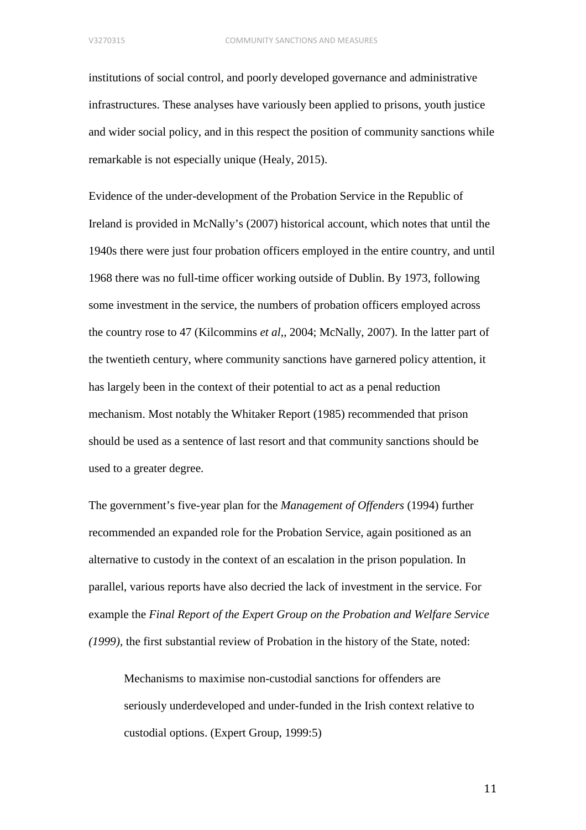institutions of social control, and poorly developed governance and administrative infrastructures. These analyses have variously been applied to prisons, youth justice and wider social policy, and in this respect the position of community sanctions while remarkable is not especially unique (Healy, 2015).

Evidence of the under-development of the Probation Service in the Republic of Ireland is provided in McNally's (2007) historical account, which notes that until the 1940s there were just four probation officers employed in the entire country, and until 1968 there was no full-time officer working outside of Dublin. By 1973, following some investment in the service, the numbers of probation officers employed across the country rose to 47 (Kilcommins *et al*,, 2004; McNally, 2007). In the latter part of the twentieth century, where community sanctions have garnered policy attention, it has largely been in the context of their potential to act as a penal reduction mechanism. Most notably the Whitaker Report (1985) recommended that prison should be used as a sentence of last resort and that community sanctions should be used to a greater degree.

The government's five-year plan for the *Management of Offenders* (1994) further recommended an expanded role for the Probation Service, again positioned as an alternative to custody in the context of an escalation in the prison population. In parallel, various reports have also decried the lack of investment in the service. For example the *Final Report of the Expert Group on the Probation and Welfare Service (1999),* the first substantial review of Probation in the history of the State, noted:

Mechanisms to maximise non-custodial sanctions for offenders are seriously underdeveloped and under-funded in the Irish context relative to custodial options. (Expert Group, 1999:5)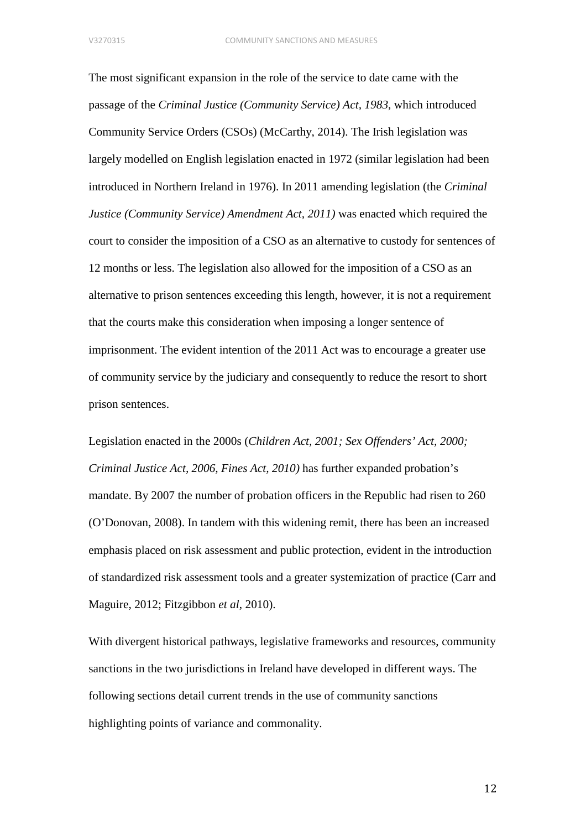The most significant expansion in the role of the service to date came with the passage of the *Criminal Justice (Community Service) Act, 1983*, which introduced Community Service Orders (CSOs) (McCarthy, 2014). The Irish legislation was largely modelled on English legislation enacted in 1972 (similar legislation had been introduced in Northern Ireland in 1976). In 2011 amending legislation (the *Criminal Justice (Community Service) Amendment Act, 2011)* was enacted which required the court to consider the imposition of a CSO as an alternative to custody for sentences of 12 months or less. The legislation also allowed for the imposition of a CSO as an alternative to prison sentences exceeding this length, however, it is not a requirement that the courts make this consideration when imposing a longer sentence of imprisonment. The evident intention of the 2011 Act was to encourage a greater use of community service by the judiciary and consequently to reduce the resort to short prison sentences.

Legislation enacted in the 2000s (*Children Act, 2001; Sex Offenders' Act, 2000; Criminal Justice Act, 2006, Fines Act, 2010)* has further expanded probation's mandate. By 2007 the number of probation officers in the Republic had risen to 260 (O'Donovan, 2008). In tandem with this widening remit, there has been an increased emphasis placed on risk assessment and public protection, evident in the introduction of standardized risk assessment tools and a greater systemization of practice (Carr and Maguire, 2012; Fitzgibbon *et al*, 2010).

With divergent historical pathways, legislative frameworks and resources, community sanctions in the two jurisdictions in Ireland have developed in different ways. The following sections detail current trends in the use of community sanctions highlighting points of variance and commonality.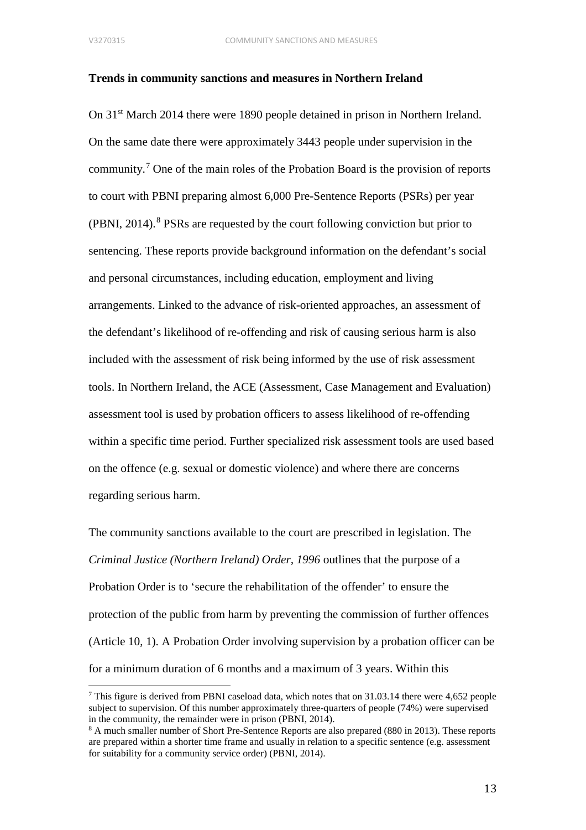## **Trends in community sanctions and measures in Northern Ireland**

On 31<sup>st</sup> March 2014 there were 1890 people detained in prison in Northern Ireland. On the same date there were approximately 3443 people under supervision in the community. [7](#page-13-0) One of the main roles of the Probation Board is the provision of reports to court with PBNI preparing almost 6,000 Pre-Sentence Reports (PSRs) per year  $(PBNI, 2014).$ <sup>[8](#page-13-1)</sup> PSRs are requested by the court following conviction but prior to sentencing. These reports provide background information on the defendant's social and personal circumstances, including education, employment and living arrangements. Linked to the advance of risk-oriented approaches, an assessment of the defendant's likelihood of re-offending and risk of causing serious harm is also included with the assessment of risk being informed by the use of risk assessment tools. In Northern Ireland, the ACE (Assessment, Case Management and Evaluation) assessment tool is used by probation officers to assess likelihood of re-offending within a specific time period. Further specialized risk assessment tools are used based on the offence (e.g. sexual or domestic violence) and where there are concerns regarding serious harm.

The community sanctions available to the court are prescribed in legislation. The *Criminal Justice (Northern Ireland) Order, 1996* outlines that the purpose of a Probation Order is to 'secure the rehabilitation of the offender' to ensure the protection of the public from harm by preventing the commission of further offences (Article 10, 1). A Probation Order involving supervision by a probation officer can be for a minimum duration of 6 months and a maximum of 3 years. Within this

<span id="page-13-0"></span><sup>7</sup> This figure is derived from PBNI caseload data, which notes that on 31.03.14 there were 4,652 people subject to supervision. Of this number approximately three-quarters of people (74%) were supervised in the community, the remainder were in prison (PBNI, 2014).

<span id="page-13-1"></span><sup>&</sup>lt;sup>8</sup> A much smaller number of Short Pre-Sentence Reports are also prepared (880 in 2013). These reports are prepared within a shorter time frame and usually in relation to a specific sentence (e.g. assessment for suitability for a community service order) (PBNI, 2014).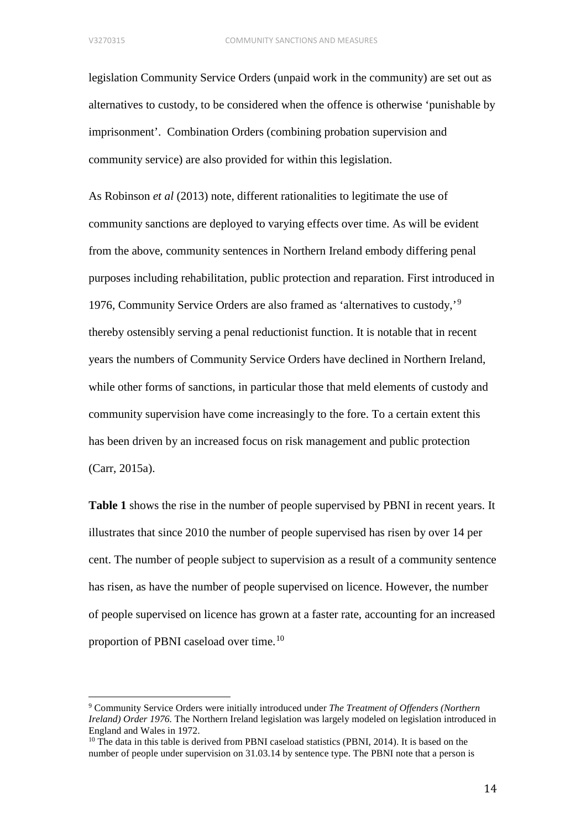legislation Community Service Orders (unpaid work in the community) are set out as alternatives to custody, to be considered when the offence is otherwise 'punishable by imprisonment'. Combination Orders (combining probation supervision and community service) are also provided for within this legislation.

As Robinson *et al* (2013) note, different rationalities to legitimate the use of community sanctions are deployed to varying effects over time. As will be evident from the above, community sentences in Northern Ireland embody differing penal purposes including rehabilitation, public protection and reparation. First introduced in 1976, Community Service Orders are also framed as 'alternatives to custody,'[9](#page-14-0) thereby ostensibly serving a penal reductionist function. It is notable that in recent years the numbers of Community Service Orders have declined in Northern Ireland, while other forms of sanctions, in particular those that meld elements of custody and community supervision have come increasingly to the fore. To a certain extent this has been driven by an increased focus on risk management and public protection (Carr, 2015a).

**Table 1** shows the rise in the number of people supervised by PBNI in recent years. It illustrates that since 2010 the number of people supervised has risen by over 14 per cent. The number of people subject to supervision as a result of a community sentence has risen, as have the number of people supervised on licence. However, the number of people supervised on licence has grown at a faster rate, accounting for an increased proportion of PBNI caseload over time.<sup>[10](#page-14-1)</sup>

<span id="page-14-0"></span><sup>9</sup> Community Service Orders were initially introduced under *The Treatment of Offenders (Northern Ireland) Order 1976.* The Northern Ireland legislation was largely modeled on legislation introduced in England and Wales in 1972.

<span id="page-14-1"></span> $10$  The data in this table is derived from PBNI caseload statistics (PBNI, 2014). It is based on the number of people under supervision on 31.03.14 by sentence type. The PBNI note that a person is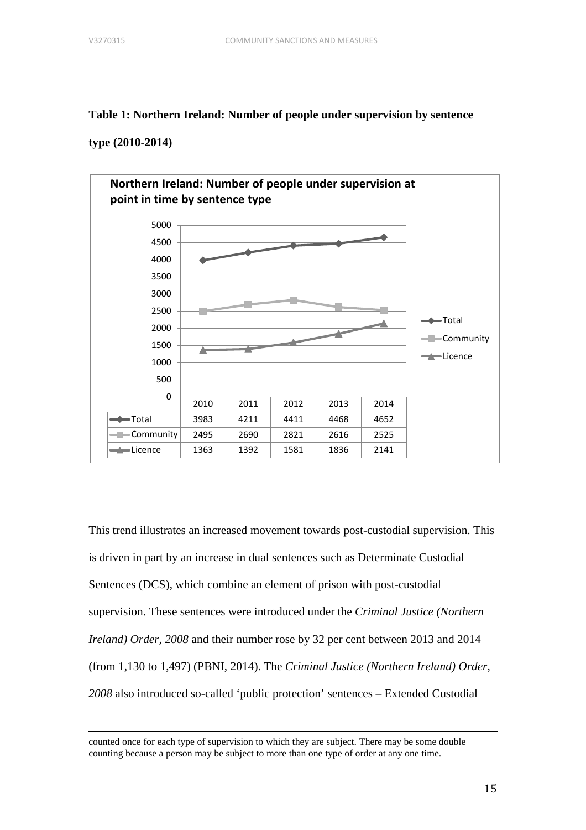# **Table 1: Northern Ireland: Number of people under supervision by sentence**

# **type (2010-2014)**



This trend illustrates an increased movement towards post-custodial supervision. This is driven in part by an increase in dual sentences such as Determinate Custodial Sentences (DCS), which combine an element of prison with post-custodial supervision. These sentences were introduced under the *Criminal Justice (Northern Ireland) Order, 2008* and their number rose by 32 per cent between 2013 and 2014 (from 1,130 to 1,497) (PBNI, 2014). The *Criminal Justice (Northern Ireland) Order, 2008* also introduced so-called 'public protection' sentences – Extended Custodial

counted once for each type of supervision to which they are subject. There may be some double counting because a person may be subject to more than one type of order at any one time.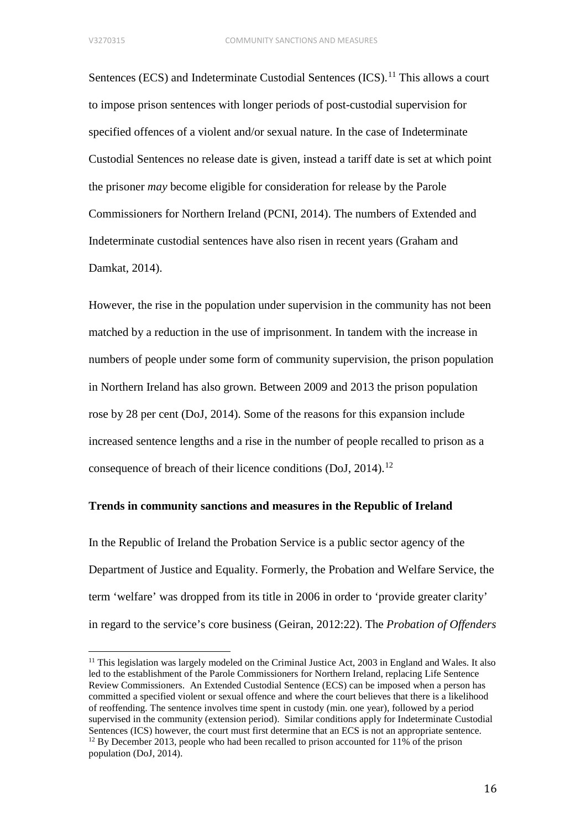Sentences (ECS) and Indeterminate Custodial Sentences (ICS).<sup>[11](#page-16-0)</sup> This allows a court to impose prison sentences with longer periods of post-custodial supervision for specified offences of a violent and/or sexual nature. In the case of Indeterminate Custodial Sentences no release date is given, instead a tariff date is set at which point the prisoner *may* become eligible for consideration for release by the Parole Commissioners for Northern Ireland (PCNI, 2014). The numbers of Extended and Indeterminate custodial sentences have also risen in recent years (Graham and Damkat, 2014).

However, the rise in the population under supervision in the community has not been matched by a reduction in the use of imprisonment. In tandem with the increase in numbers of people under some form of community supervision, the prison population in Northern Ireland has also grown. Between 2009 and 2013 the prison population rose by 28 per cent (DoJ, 2014). Some of the reasons for this expansion include increased sentence lengths and a rise in the number of people recalled to prison as a consequence of breach of their licence conditions (DoJ, 2014).<sup>[12](#page-16-1)</sup>

## **Trends in community sanctions and measures in the Republic of Ireland**

In the Republic of Ireland the Probation Service is a public sector agency of the Department of Justice and Equality. Formerly, the Probation and Welfare Service, the term 'welfare' was dropped from its title in 2006 in order to 'provide greater clarity' in regard to the service's core business (Geiran, 2012:22). The *Probation of Offenders* 

<span id="page-16-1"></span><span id="page-16-0"></span><sup>&</sup>lt;sup>11</sup> This legislation was largely modeled on the Criminal Justice Act, 2003 in England and Wales. It also led to the establishment of the Parole Commissioners for Northern Ireland, replacing Life Sentence Review Commissioners. An Extended Custodial Sentence (ECS) can be imposed when a person has committed a specified violent or sexual offence and where the court believes that there is a likelihood of reoffending. The sentence involves time spent in custody (min. one year), followed by a period supervised in the community (extension period). Similar conditions apply for Indeterminate Custodial Sentences (ICS) however, the court must first determine that an ECS is not an appropriate sentence.  $12$  By December 2013, people who had been recalled to prison accounted for 11% of the prison population (DoJ, 2014).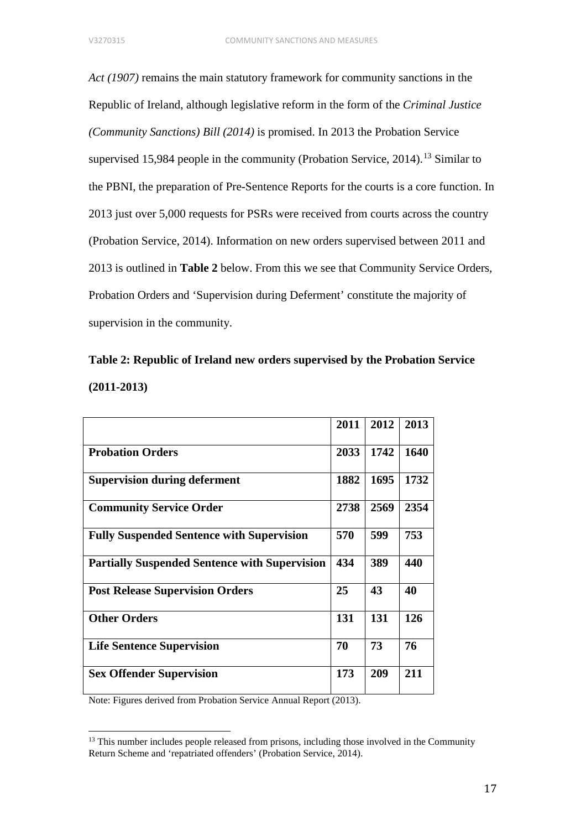*Act (1907)* remains the main statutory framework for community sanctions in the Republic of Ireland, although legislative reform in the form of the *Criminal Justice (Community Sanctions) Bill (2014)* is promised. In 2013 the Probation Service supervised 15,984 people in the community (Probation Service, 2014).<sup>[13](#page-17-0)</sup> Similar to the PBNI, the preparation of Pre-Sentence Reports for the courts is a core function. In 2013 just over 5,000 requests for PSRs were received from courts across the country (Probation Service, 2014). Information on new orders supervised between 2011 and 2013 is outlined in **Table 2** below. From this we see that Community Service Orders, Probation Orders and 'Supervision during Deferment' constitute the majority of supervision in the community.

# **Table 2: Republic of Ireland new orders supervised by the Probation Service (2011-2013)**

|                                                      | 2011 | 2012 | 2013 |
|------------------------------------------------------|------|------|------|
| <b>Probation Orders</b>                              | 2033 | 1742 | 1640 |
| <b>Supervision during deferment</b>                  | 1882 | 1695 | 1732 |
| <b>Community Service Order</b>                       | 2738 | 2569 | 2354 |
| <b>Fully Suspended Sentence with Supervision</b>     | 570  | 599  | 753  |
| <b>Partially Suspended Sentence with Supervision</b> | 434  | 389  | 440  |
| <b>Post Release Supervision Orders</b>               | 25   | 43   | 40   |
| <b>Other Orders</b>                                  | 131  | 131  | 126  |
| <b>Life Sentence Supervision</b>                     | 70   | 73   | 76   |
| <b>Sex Offender Supervision</b>                      | 173  | 209  | 211  |

Note: Figures derived from Probation Service Annual Report (2013).

<span id="page-17-0"></span> $<sup>13</sup>$  This number includes people released from prisons, including those involved in the Community</sup> Return Scheme and 'repatriated offenders' (Probation Service, 2014).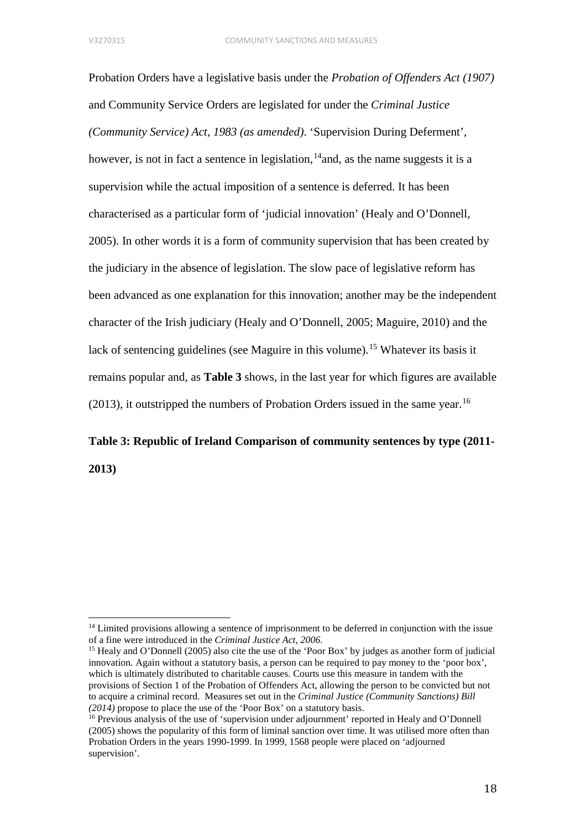Probation Orders have a legislative basis under the *Probation of Offenders Act (1907)*  and Community Service Orders are legislated for under the *Criminal Justice (Community Service) Act, 1983 (as amended)*. 'Supervision During Deferment', however, is not in fact a sentence in legislation, <sup>14</sup> and, as the name suggests it is a supervision while the actual imposition of a sentence is deferred. It has been characterised as a particular form of 'judicial innovation' (Healy and O'Donnell, 2005). In other words it is a form of community supervision that has been created by the judiciary in the absence of legislation. The slow pace of legislative reform has been advanced as one explanation for this innovation; another may be the independent character of the Irish judiciary (Healy and O'Donnell, 2005; Maguire, 2010) and the lack of sentencing guidelines (see Maguire in this volume). [15](#page-18-1) Whatever its basis it remains popular and, as **Table 3** shows, in the last year for which figures are available  $(2013)$ , it outstripped the numbers of Probation Orders issued in the same year.<sup>[16](#page-18-2)</sup>

# **Table 3: Republic of Ireland Comparison of community sentences by type (2011- 2013)**

<span id="page-18-0"></span><sup>&</sup>lt;sup>14</sup> Limited provisions allowing a sentence of imprisonment to be deferred in conjunction with the issue of a fine were introduced in the *Criminal Justice Act, 2006.* 

<span id="page-18-1"></span><sup>&</sup>lt;sup>15</sup> Healy and O'Donnell (2005) also cite the use of the 'Poor Box' by judges as another form of judicial innovation. Again without a statutory basis, a person can be required to pay money to the 'poor box', which is ultimately distributed to charitable causes. Courts use this measure in tandem with the provisions of Section 1 of the Probation of Offenders Act, allowing the person to be convicted but not to acquire a criminal record. Measures set out in the *Criminal Justice (Community Sanctions) Bill (2014)* propose to place the use of the 'Poor Box' on a statutory basis. <sup>16</sup> Previous analysis of the use of 'supervision under adjournment' reported in Healy and O'Donnell

<span id="page-18-2"></span><sup>(2005)</sup> shows the popularity of this form of liminal sanction over time. It was utilised more often than Probation Orders in the years 1990-1999. In 1999, 1568 people were placed on 'adjourned supervision'.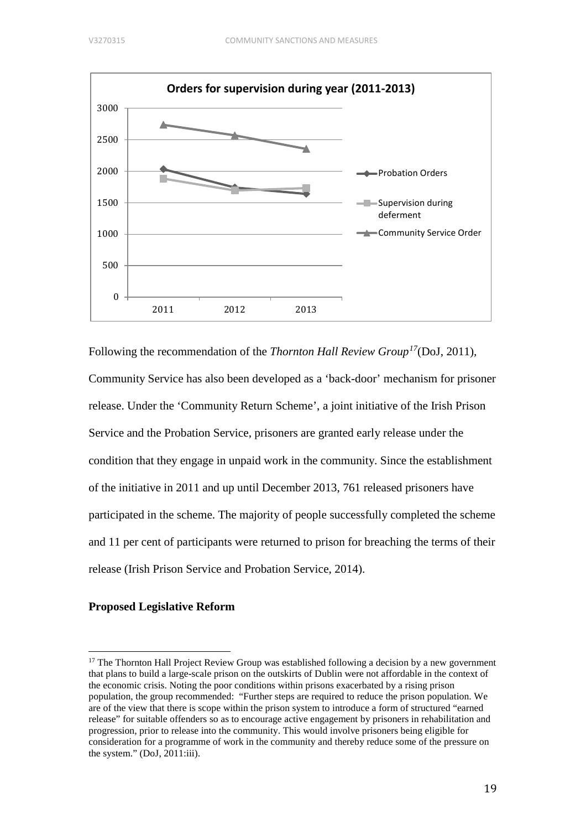

Following the recommendation of the *Thornton Hall Review Group[17](#page-19-0)*(DoJ, 2011)*,*  Community Service has also been developed as a 'back-door' mechanism for prisoner release. Under the 'Community Return Scheme', a joint initiative of the Irish Prison Service and the Probation Service, prisoners are granted early release under the condition that they engage in unpaid work in the community. Since the establishment of the initiative in 2011 and up until December 2013, 761 released prisoners have participated in the scheme. The majority of people successfully completed the scheme and 11 per cent of participants were returned to prison for breaching the terms of their release (Irish Prison Service and Probation Service, 2014).

# **Proposed Legislative Reform**

<span id="page-19-0"></span> $17$  The Thornton Hall Project Review Group was established following a decision by a new government that plans to build a large-scale prison on the outskirts of Dublin were not affordable in the context of the economic crisis. Noting the poor conditions within prisons exacerbated by a rising prison population, the group recommended: "Further steps are required to reduce the prison population. We are of the view that there is scope within the prison system to introduce a form of structured "earned release" for suitable offenders so as to encourage active engagement by prisoners in rehabilitation and progression, prior to release into the community. This would involve prisoners being eligible for consideration for a programme of work in the community and thereby reduce some of the pressure on the system." (DoJ, 2011:iii).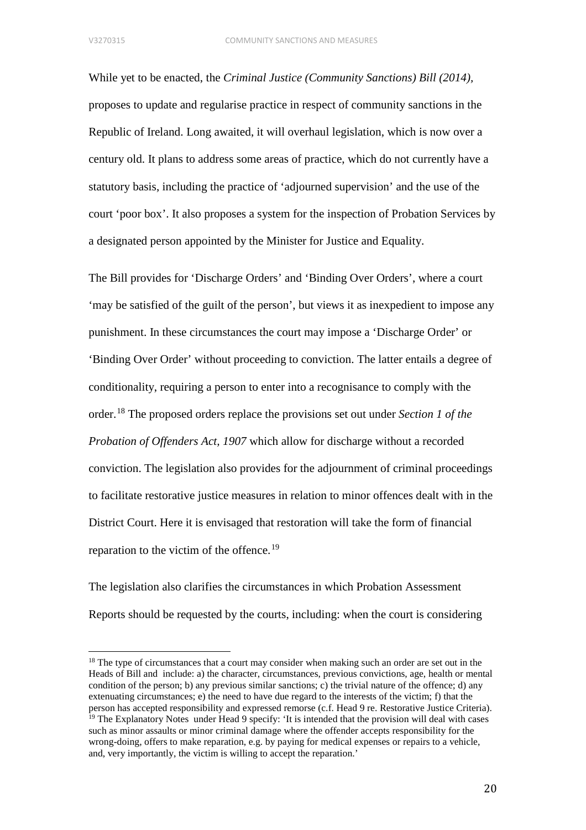While yet to be enacted, the *Criminal Justice (Community Sanctions) Bill (2014),* proposes to update and regularise practice in respect of community sanctions in the Republic of Ireland. Long awaited, it will overhaul legislation, which is now over a century old. It plans to address some areas of practice, which do not currently have a statutory basis, including the practice of 'adjourned supervision' and the use of the court 'poor box'. It also proposes a system for the inspection of Probation Services by a designated person appointed by the Minister for Justice and Equality.

The Bill provides for 'Discharge Orders' and 'Binding Over Orders', where a court 'may be satisfied of the guilt of the person', but views it as inexpedient to impose any punishment. In these circumstances the court may impose a 'Discharge Order' or 'Binding Over Order' without proceeding to conviction. The latter entails a degree of conditionality, requiring a person to enter into a recognisance to comply with the order. [18](#page-20-0) The proposed orders replace the provisions set out under *Section 1 of the Probation of Offenders Act, 1907* which allow for discharge without a recorded conviction. The legislation also provides for the adjournment of criminal proceedings to facilitate restorative justice measures in relation to minor offences dealt with in the District Court. Here it is envisaged that restoration will take the form of financial reparation to the victim of the offence.<sup>[19](#page-20-1)</sup>

The legislation also clarifies the circumstances in which Probation Assessment Reports should be requested by the courts, including: when the court is considering

<span id="page-20-1"></span><span id="page-20-0"></span><sup>&</sup>lt;sup>18</sup> The type of circumstances that a court may consider when making such an order are set out in the Heads of Bill and include: a) the character, circumstances, previous convictions, age, health or mental condition of the person; b) any previous similar sanctions; c) the trivial nature of the offence; d) any extenuating circumstances; e) the need to have due regard to the interests of the victim; f) that the person has accepted responsibility and expressed remorse (c.f. Head 9 re. Restorative Justice Criteria).  $19$  The Explanatory Notes under Head 9 specify: 'It is intended that the provision will deal with cases such as minor assaults or minor criminal damage where the offender accepts responsibility for the wrong-doing, offers to make reparation, e.g. by paying for medical expenses or repairs to a vehicle, and, very importantly, the victim is willing to accept the reparation.'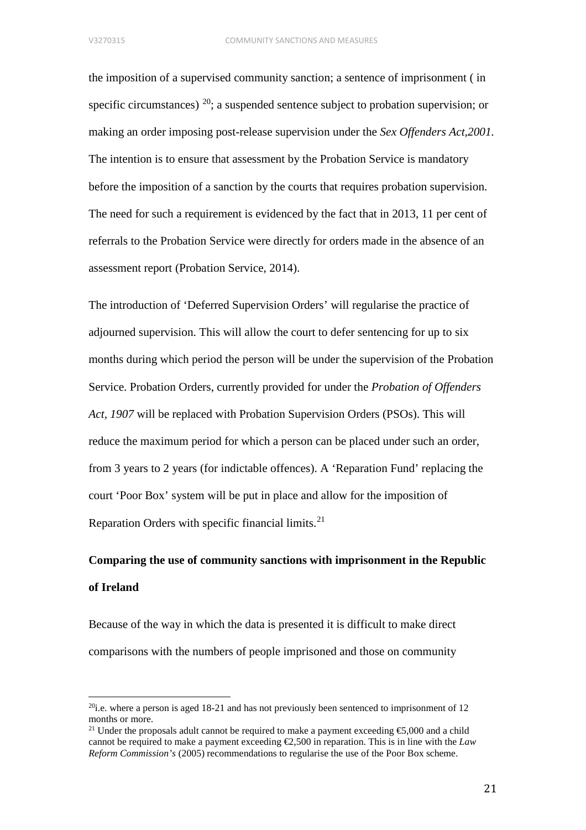the imposition of a supervised community sanction; a sentence of imprisonment ( in specific circumstances)  $^{20}$ ; a suspended sentence subject to probation supervision; or making an order imposing post-release supervision under the *Sex Offenders Act,2001.*  The intention is to ensure that assessment by the Probation Service is mandatory before the imposition of a sanction by the courts that requires probation supervision. The need for such a requirement is evidenced by the fact that in 2013, 11 per cent of referrals to the Probation Service were directly for orders made in the absence of an assessment report (Probation Service, 2014).

The introduction of 'Deferred Supervision Orders' will regularise the practice of adjourned supervision. This will allow the court to defer sentencing for up to six months during which period the person will be under the supervision of the Probation Service. Probation Orders, currently provided for under the *Probation of Offenders Act, 1907* will be replaced with Probation Supervision Orders (PSOs). This will reduce the maximum period for which a person can be placed under such an order, from 3 years to 2 years (for indictable offences). A 'Reparation Fund' replacing the court 'Poor Box' system will be put in place and allow for the imposition of Reparation Orders with specific financial limits.<sup>[21](#page-21-1)</sup>

# **Comparing the use of community sanctions with imprisonment in the Republic of Ireland**

Because of the way in which the data is presented it is difficult to make direct comparisons with the numbers of people imprisoned and those on community

<span id="page-21-0"></span><sup>&</sup>lt;sup>20</sup>i.e. where a person is aged 18-21 and has not previously been sentenced to imprisonment of 12 months or more.

<span id="page-21-1"></span><sup>&</sup>lt;sup>21</sup> Under the proposals adult cannot be required to make a payment exceeding  $\epsilon$ 5,000 and a child cannot be required to make a payment exceeding  $\epsilon$ ,500 in reparation. This is in line with the *Law Reform Commission's* (2005) recommendations to regularise the use of the Poor Box scheme.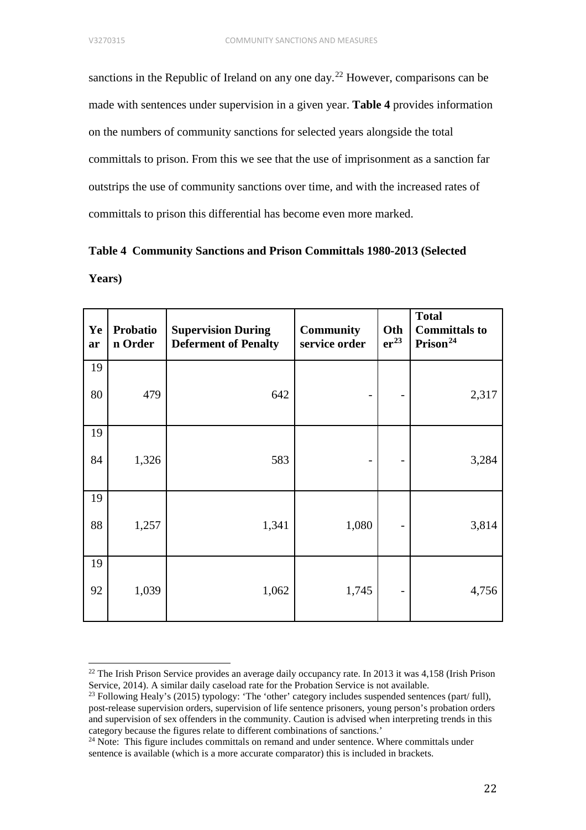sanctions in the Republic of Ireland on any one day.<sup>[22](#page-22-0)</sup> However, comparisons can be made with sentences under supervision in a given year. **Table 4** provides information on the numbers of community sanctions for selected years alongside the total committals to prison. From this we see that the use of imprisonment as a sanction far outstrips the use of community sanctions over time, and with the increased rates of committals to prison this differential has become even more marked.

|        | Table 4 Community Sanctions and Prison Committals 1980-2013 (Selected |  |  |
|--------|-----------------------------------------------------------------------|--|--|
| Years) |                                                                       |  |  |

| Ye<br>ar | <b>Probatio</b><br>n Order | <b>Supervision During</b><br><b>Deferment of Penalty</b> | <b>Community</b><br>service order | Oth<br>er <sup>23</sup>  | <b>Total</b><br><b>Committals to</b><br>Prison <sup>24</sup> |
|----------|----------------------------|----------------------------------------------------------|-----------------------------------|--------------------------|--------------------------------------------------------------|
| 19       |                            |                                                          |                                   |                          |                                                              |
| 80       | 479                        | 642                                                      |                                   |                          | 2,317                                                        |
| 19       |                            |                                                          |                                   |                          |                                                              |
| 84       | 1,326                      | 583                                                      |                                   |                          | 3,284                                                        |
| 19       |                            |                                                          |                                   |                          |                                                              |
| 88       | 1,257                      | 1,341                                                    | 1,080                             |                          | 3,814                                                        |
| 19       |                            |                                                          |                                   |                          |                                                              |
| 92       | 1,039                      | 1,062                                                    | 1,745                             | $\overline{\phantom{0}}$ | 4,756                                                        |

<span id="page-22-0"></span><sup>&</sup>lt;sup>22</sup> The Irish Prison Service provides an average daily occupancy rate. In 2013 it was  $4,158$  (Irish Prison Service, 2014). A similar daily caseload rate for the Probation Service is not available.

<span id="page-22-1"></span><sup>&</sup>lt;sup>23</sup> Following Healy's (2015) typology: 'The 'other' category includes suspended sentences (part/ full), post-release supervision orders, supervision of life sentence prisoners, young person's probation orders and supervision of sex offenders in the community. Caution is advised when interpreting trends in this category because the figures relate to different combinations of sanctions.'

<span id="page-22-2"></span> $24$  Note: This figure includes committals on remand and under sentence. Where committals under sentence is available (which is a more accurate comparator) this is included in brackets.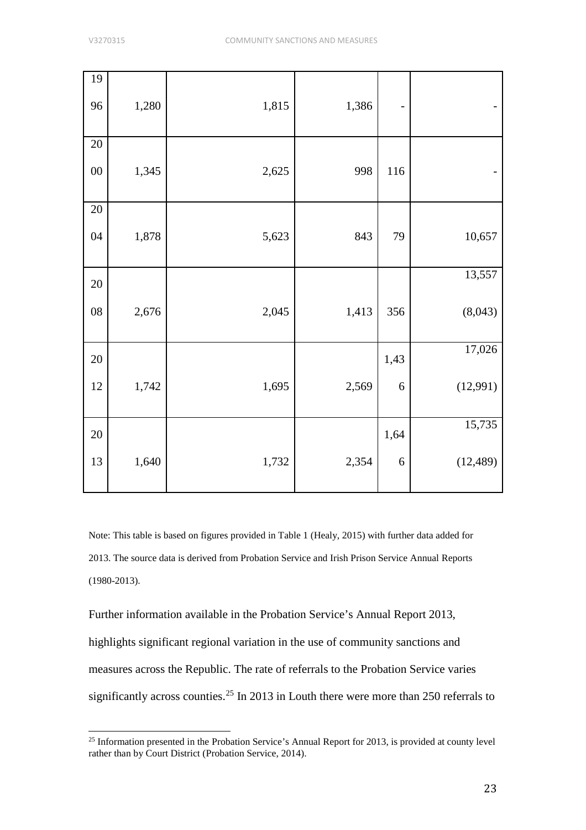| 19         |       |       |       |      |           |
|------------|-------|-------|-------|------|-----------|
| 96         | 1,280 | 1,815 | 1,386 | -    |           |
| $20\,$     |       |       |       |      |           |
| ${\bf 00}$ | 1,345 | 2,625 | 998   | 116  |           |
| $20\,$     |       |       |       |      |           |
| 04         | 1,878 | 5,623 | 843   | 79   | 10,657    |
| $20\,$     |       |       |       |      | 13,557    |
| ${\bf 08}$ | 2,676 | 2,045 | 1,413 | 356  | (8,043)   |
| $20\,$     |       |       |       | 1,43 | 17,026    |
| $12\,$     | 1,742 | 1,695 | 2,569 | 6    | (12,991)  |
| $20\,$     |       |       |       | 1,64 | 15,735    |
| 13         | 1,640 | 1,732 | 2,354 | 6    | (12, 489) |

Note: This table is based on figures provided in Table 1 (Healy, 2015) with further data added for 2013. The source data is derived from Probation Service and Irish Prison Service Annual Reports (1980-2013).

Further information available in the Probation Service's Annual Report 2013, highlights significant regional variation in the use of community sanctions and measures across the Republic. The rate of referrals to the Probation Service varies significantly across counties.<sup>[25](#page-23-0)</sup> In 2013 in Louth there were more than 250 referrals to

<span id="page-23-0"></span><sup>&</sup>lt;sup>25</sup> Information presented in the Probation Service's Annual Report for 2013, is provided at county level rather than by Court District (Probation Service, 2014).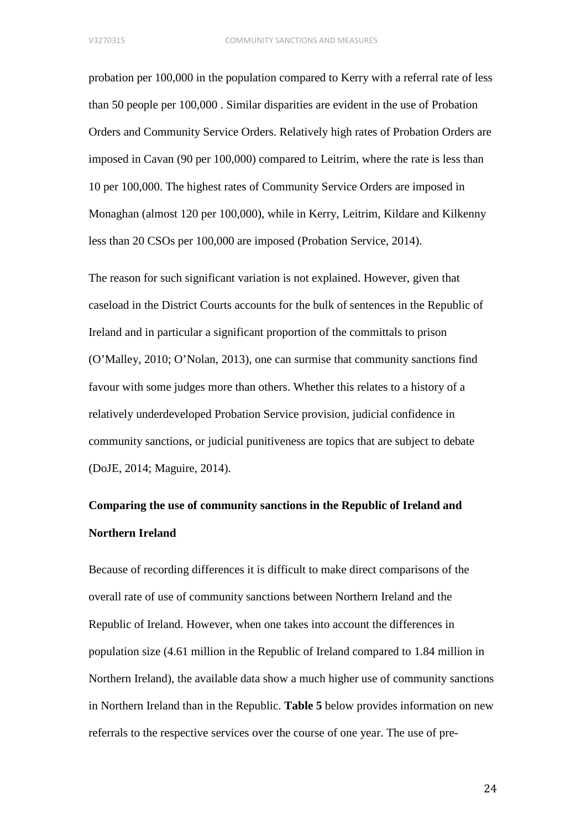probation per 100,000 in the population compared to Kerry with a referral rate of less than 50 people per 100,000 . Similar disparities are evident in the use of Probation Orders and Community Service Orders. Relatively high rates of Probation Orders are imposed in Cavan (90 per 100,000) compared to Leitrim, where the rate is less than 10 per 100,000. The highest rates of Community Service Orders are imposed in Monaghan (almost 120 per 100,000), while in Kerry, Leitrim, Kildare and Kilkenny less than 20 CSOs per 100,000 are imposed (Probation Service, 2014).

The reason for such significant variation is not explained. However, given that caseload in the District Courts accounts for the bulk of sentences in the Republic of Ireland and in particular a significant proportion of the committals to prison (O'Malley, 2010; O'Nolan, 2013), one can surmise that community sanctions find favour with some judges more than others. Whether this relates to a history of a relatively underdeveloped Probation Service provision, judicial confidence in community sanctions, or judicial punitiveness are topics that are subject to debate (DoJE, 2014; Maguire, 2014).

# **Comparing the use of community sanctions in the Republic of Ireland and Northern Ireland**

Because of recording differences it is difficult to make direct comparisons of the overall rate of use of community sanctions between Northern Ireland and the Republic of Ireland. However, when one takes into account the differences in population size (4.61 million in the Republic of Ireland compared to 1.84 million in Northern Ireland), the available data show a much higher use of community sanctions in Northern Ireland than in the Republic. **Table 5** below provides information on new referrals to the respective services over the course of one year. The use of pre-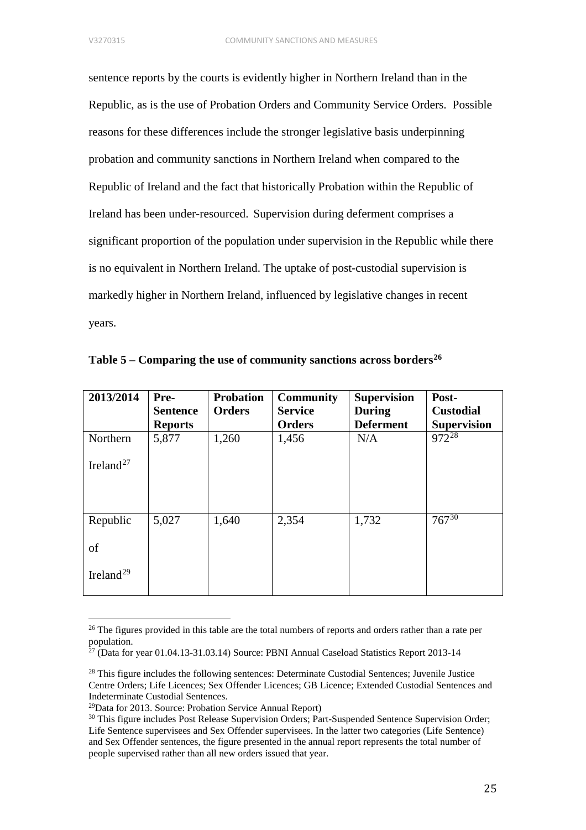sentence reports by the courts is evidently higher in Northern Ireland than in the Republic, as is the use of Probation Orders and Community Service Orders. Possible reasons for these differences include the stronger legislative basis underpinning probation and community sanctions in Northern Ireland when compared to the Republic of Ireland and the fact that historically Probation within the Republic of Ireland has been under-resourced. Supervision during deferment comprises a significant proportion of the population under supervision in the Republic while there is no equivalent in Northern Ireland. The uptake of post-custodial supervision is markedly higher in Northern Ireland, influenced by legislative changes in recent years.

| 2013/2014             | Pre-            | <b>Probation</b> | <b>Community</b> | <b>Supervision</b> | Post-              |
|-----------------------|-----------------|------------------|------------------|--------------------|--------------------|
|                       | <b>Sentence</b> | <b>Orders</b>    | <b>Service</b>   | <b>During</b>      | <b>Custodial</b>   |
|                       | <b>Reports</b>  |                  | <b>Orders</b>    | <b>Deferment</b>   | <b>Supervision</b> |
| Northern              | 5,877           | 1,260            | 1,456            | N/A                | $972^{28}$         |
| Ireland <sup>27</sup> |                 |                  |                  |                    |                    |
|                       |                 |                  |                  |                    |                    |
| Republic              | 5,027           | 1,640            | 2,354            | 1,732              | $767^{30}$         |
| of                    |                 |                  |                  |                    |                    |
| Ireland <sup>29</sup> |                 |                  |                  |                    |                    |

**Table 5 – Comparing the use of community sanctions across borders[26](#page-25-0)**

<span id="page-25-0"></span><sup>&</sup>lt;sup>26</sup> The figures provided in this table are the total numbers of reports and orders rather than a rate per population.

<span id="page-25-1"></span><sup>27</sup> (Data for year 01.04.13-31.03.14) Source: PBNI Annual Caseload Statistics Report 2013-14

<span id="page-25-2"></span><sup>&</sup>lt;sup>28</sup> This figure includes the following sentences: Determinate Custodial Sentences; Juvenile Justice Centre Orders; Life Licences; Sex Offender Licences; GB Licence; Extended Custodial Sentences and Indeterminate Custodial Sentences.

<span id="page-25-3"></span> $29$ Data for 2013. Source: Probation Service Annual Report)

<span id="page-25-4"></span><sup>&</sup>lt;sup>30</sup> This figure includes Post Release Supervision Orders; Part-Suspended Sentence Supervision Order; Life Sentence supervisees and Sex Offender supervisees. In the latter two categories (Life Sentence) and Sex Offender sentences, the figure presented in the annual report represents the total number of people supervised rather than all new orders issued that year.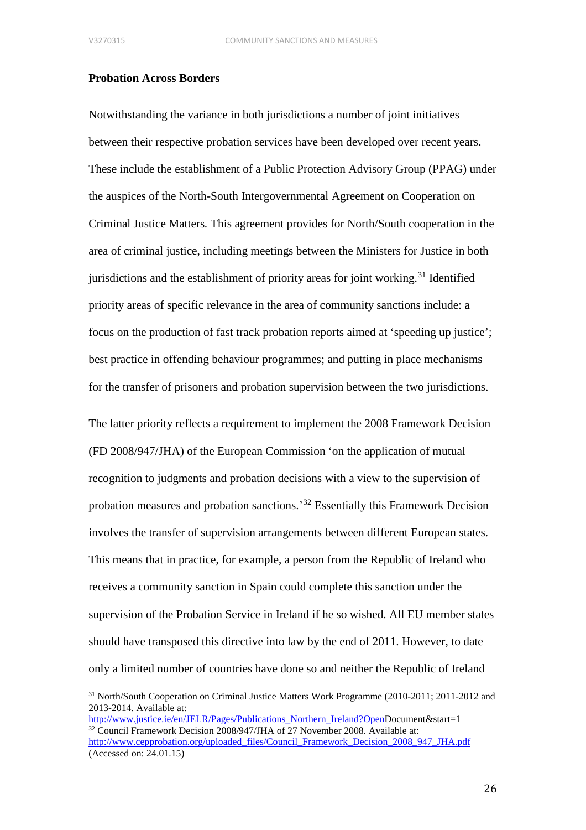### **Probation Across Borders**

Notwithstanding the variance in both jurisdictions a number of joint initiatives between their respective probation services have been developed over recent years. These include the establishment of a Public Protection Advisory Group (PPAG) under the auspices of the North-South Intergovernmental Agreement on Cooperation on Criminal Justice Matters*.* This agreement provides for North/South cooperation in the area of criminal justice, including meetings between the Ministers for Justice in both jurisdictions and the establishment of priority areas for joint working.<sup>[31](#page-26-0)</sup> Identified priority areas of specific relevance in the area of community sanctions include: a focus on the production of fast track probation reports aimed at 'speeding up justice'; best practice in offending behaviour programmes; and putting in place mechanisms for the transfer of prisoners and probation supervision between the two jurisdictions.

The latter priority reflects a requirement to implement the 2008 Framework Decision (FD 2008/947/JHA) of the European Commission 'on the application of mutual recognition to judgments and probation decisions with a view to the supervision of probation measures and probation sanctions.'[32](#page-26-1) Essentially this Framework Decision involves the transfer of supervision arrangements between different European states. This means that in practice, for example, a person from the Republic of Ireland who receives a community sanction in Spain could complete this sanction under the supervision of the Probation Service in Ireland if he so wished. All EU member states should have transposed this directive into law by the end of 2011. However, to date only a limited number of countries have done so and neither the Republic of Ireland

<span id="page-26-1"></span>[http://www.justice.ie/en/JELR/Pages/Publications\\_Northern\\_Ireland?OpenD](http://www.justice.ie/en/JELR/Pages/Publications_Northern_Ireland?Open)ocument&start=1 <sup>32</sup> Council Framework Decision 2008/947/JHA of 27 November 2008. Available at: [http://www.cepprobation.org/uploaded\\_files/Council\\_Framework\\_Decision\\_2008\\_947\\_JHA.pdf](http://www.cepprobation.org/uploaded_files/Council_Framework_Decision_2008_947_JHA.pdf)

<span id="page-26-0"></span><sup>31</sup> North/South Cooperation on Criminal Justice Matters Work Programme (2010-2011; 2011-2012 and 2013-2014. Available at:

<sup>(</sup>Accessed on: 24.01.15)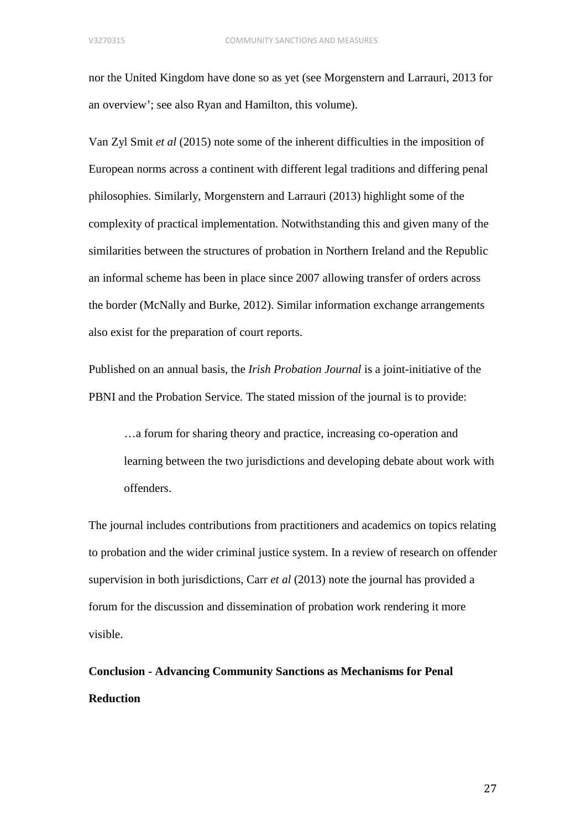nor the United Kingdom have done so as yet (see Morgenstern and Larrauri, 2013 for an overview'; see also Ryan and Hamilton, this volume).

Van Zyl Smit *et al* (2015) note some of the inherent difficulties in the imposition of European norms across a continent with different legal traditions and differing penal philosophies. Similarly, Morgenstern and Larrauri (2013) highlight some of the complexity of practical implementation. Notwithstanding this and given many of the similarities between the structures of probation in Northern Ireland and the Republic an informal scheme has been in place since 2007 allowing transfer of orders across the border (McNally and Burke, 2012). Similar information exchange arrangements also exist for the preparation of court reports.

Published on an annual basis, the *Irish Probation Journal* is a joint-initiative of the PBNI and the Probation Service*.* The stated mission of the journal is to provide:

…a forum for sharing theory and practice, increasing co-operation and learning between the two jurisdictions and developing debate about work with offenders.

The journal includes contributions from practitioners and academics on topics relating to probation and the wider criminal justice system. In a review of research on offender supervision in both jurisdictions, Carr *et al* (2013) note the journal has provided a forum for the discussion and dissemination of probation work rendering it more visible.

**Conclusion - Advancing Community Sanctions as Mechanisms for Penal Reduction**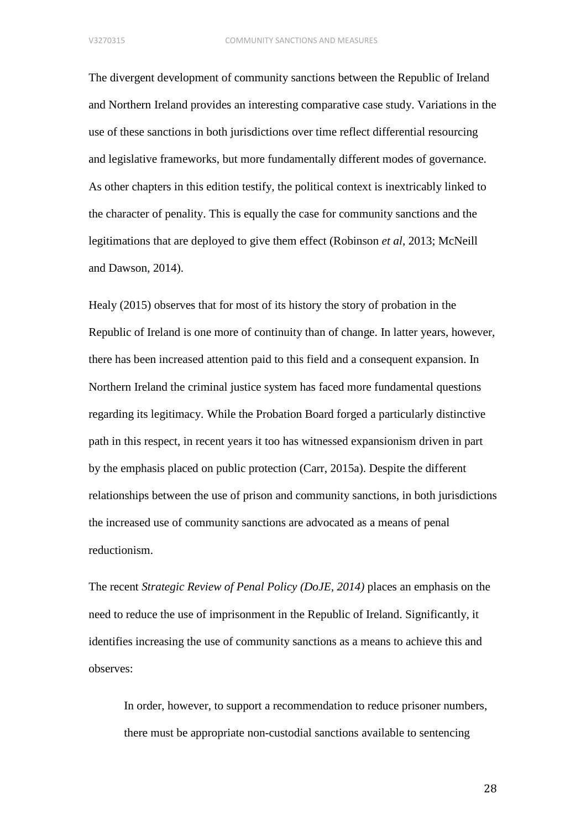The divergent development of community sanctions between the Republic of Ireland and Northern Ireland provides an interesting comparative case study. Variations in the use of these sanctions in both jurisdictions over time reflect differential resourcing and legislative frameworks, but more fundamentally different modes of governance. As other chapters in this edition testify, the political context is inextricably linked to the character of penality. This is equally the case for community sanctions and the legitimations that are deployed to give them effect (Robinson *et al*, 2013; McNeill and Dawson, 2014).

Healy (2015) observes that for most of its history the story of probation in the Republic of Ireland is one more of continuity than of change. In latter years, however, there has been increased attention paid to this field and a consequent expansion. In Northern Ireland the criminal justice system has faced more fundamental questions regarding its legitimacy. While the Probation Board forged a particularly distinctive path in this respect, in recent years it too has witnessed expansionism driven in part by the emphasis placed on public protection (Carr, 2015a). Despite the different relationships between the use of prison and community sanctions, in both jurisdictions the increased use of community sanctions are advocated as a means of penal reductionism.

The recent *Strategic Review of Penal Policy (DoJE, 2014)* places an emphasis on the need to reduce the use of imprisonment in the Republic of Ireland. Significantly, it identifies increasing the use of community sanctions as a means to achieve this and observes:

In order, however, to support a recommendation to reduce prisoner numbers, there must be appropriate non-custodial sanctions available to sentencing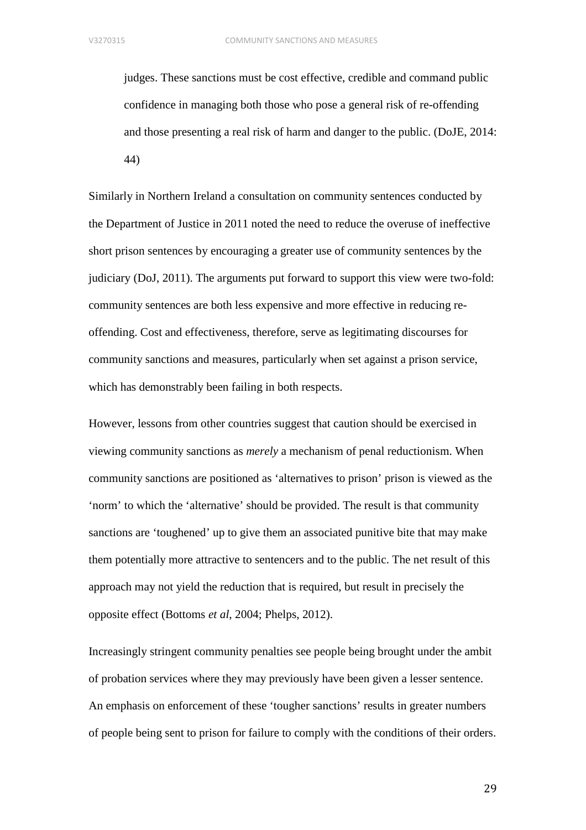judges. These sanctions must be cost effective, credible and command public confidence in managing both those who pose a general risk of re-offending and those presenting a real risk of harm and danger to the public. (DoJE, 2014: 44)

Similarly in Northern Ireland a consultation on community sentences conducted by the Department of Justice in 2011 noted the need to reduce the overuse of ineffective short prison sentences by encouraging a greater use of community sentences by the judiciary (DoJ, 2011). The arguments put forward to support this view were two-fold: community sentences are both less expensive and more effective in reducing reoffending. Cost and effectiveness, therefore, serve as legitimating discourses for community sanctions and measures, particularly when set against a prison service, which has demonstrably been failing in both respects.

However, lessons from other countries suggest that caution should be exercised in viewing community sanctions as *merely* a mechanism of penal reductionism. When community sanctions are positioned as 'alternatives to prison' prison is viewed as the 'norm' to which the 'alternative' should be provided. The result is that community sanctions are 'toughened' up to give them an associated punitive bite that may make them potentially more attractive to sentencers and to the public. The net result of this approach may not yield the reduction that is required, but result in precisely the opposite effect (Bottoms *et al*, 2004; Phelps, 2012).

Increasingly stringent community penalties see people being brought under the ambit of probation services where they may previously have been given a lesser sentence. An emphasis on enforcement of these 'tougher sanctions' results in greater numbers of people being sent to prison for failure to comply with the conditions of their orders.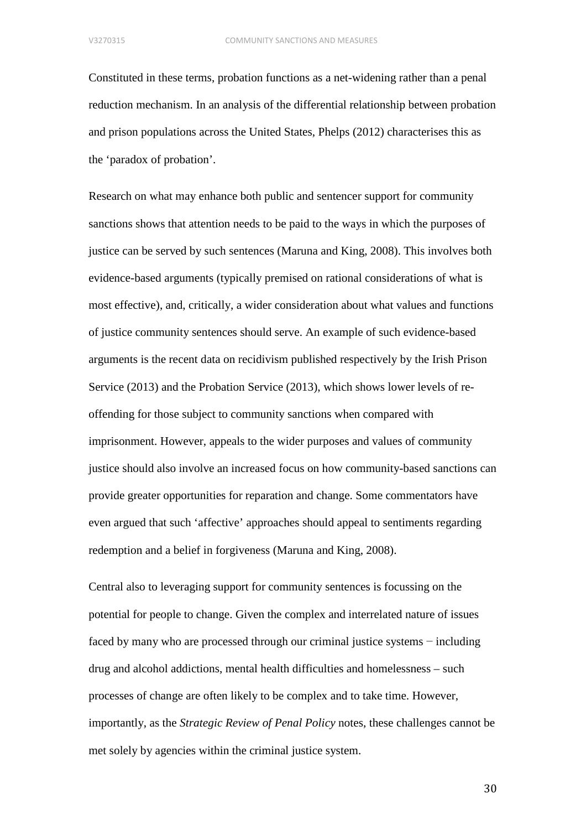Constituted in these terms, probation functions as a net-widening rather than a penal reduction mechanism. In an analysis of the differential relationship between probation and prison populations across the United States, Phelps (2012) characterises this as the 'paradox of probation'.

Research on what may enhance both public and sentencer support for community sanctions shows that attention needs to be paid to the ways in which the purposes of justice can be served by such sentences (Maruna and King, 2008). This involves both evidence-based arguments (typically premised on rational considerations of what is most effective), and, critically, a wider consideration about what values and functions of justice community sentences should serve. An example of such evidence-based arguments is the recent data on recidivism published respectively by the Irish Prison Service (2013) and the Probation Service (2013), which shows lower levels of reoffending for those subject to community sanctions when compared with imprisonment. However, appeals to the wider purposes and values of community justice should also involve an increased focus on how community-based sanctions can provide greater opportunities for reparation and change. Some commentators have even argued that such 'affective' approaches should appeal to sentiments regarding redemption and a belief in forgiveness (Maruna and King, 2008).

Central also to leveraging support for community sentences is focussing on the potential for people to change. Given the complex and interrelated nature of issues faced by many who are processed through our criminal justice systems − including drug and alcohol addictions, mental health difficulties and homelessness – such processes of change are often likely to be complex and to take time. However, importantly, as the *Strategic Review of Penal Policy* notes, these challenges cannot be met solely by agencies within the criminal justice system.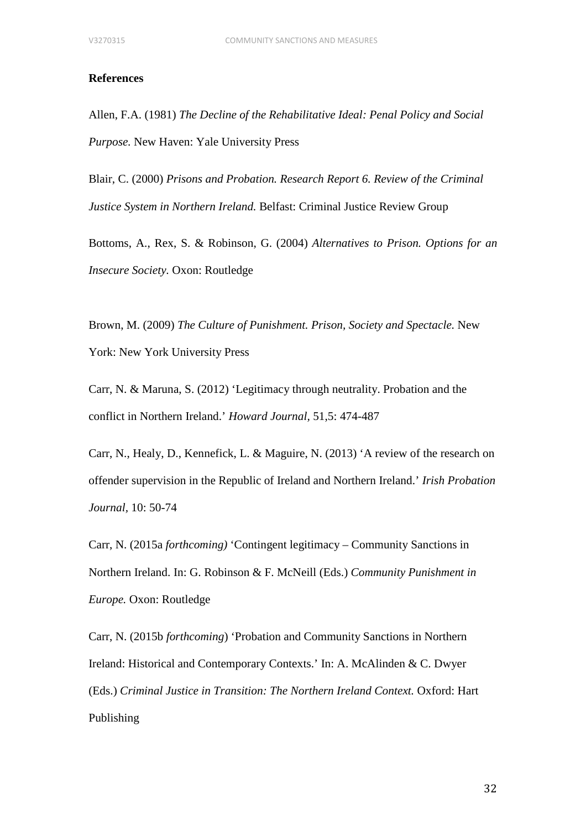### **References**

Allen, F.A. (1981) *The Decline of the Rehabilitative Ideal: Penal Policy and Social Purpose.* New Haven: Yale University Press

Blair, C. (2000) *Prisons and Probation. Research Report 6. Review of the Criminal Justice System in Northern Ireland.* Belfast: Criminal Justice Review Group

Bottoms, A., Rex, S. & Robinson, G. (2004) *Alternatives to Prison. Options for an Insecure Society.* Oxon: Routledge

Brown, M. (2009) *The Culture of Punishment. Prison, Society and Spectacle.* New York: New York University Press

Carr, N. & Maruna, S. (2012) 'Legitimacy through neutrality. Probation and the conflict in Northern Ireland.' *Howard Journal,* 51,5: 474-487

Carr, N., Healy, D., Kennefick, L. & Maguire, N. (2013) 'A review of the research on offender supervision in the Republic of Ireland and Northern Ireland.' *Irish Probation Journal,* 10: 50-74

Carr, N. (2015a *forthcoming)* 'Contingent legitimacy – Community Sanctions in Northern Ireland. In: G. Robinson & F. McNeill (Eds.) *Community Punishment in Europe.* Oxon: Routledge

Carr, N. (2015b *forthcoming*) 'Probation and Community Sanctions in Northern Ireland: Historical and Contemporary Contexts.' In: A. McAlinden & C. Dwyer (Eds.) *Criminal Justice in Transition: The Northern Ireland Context.* Oxford: Hart Publishing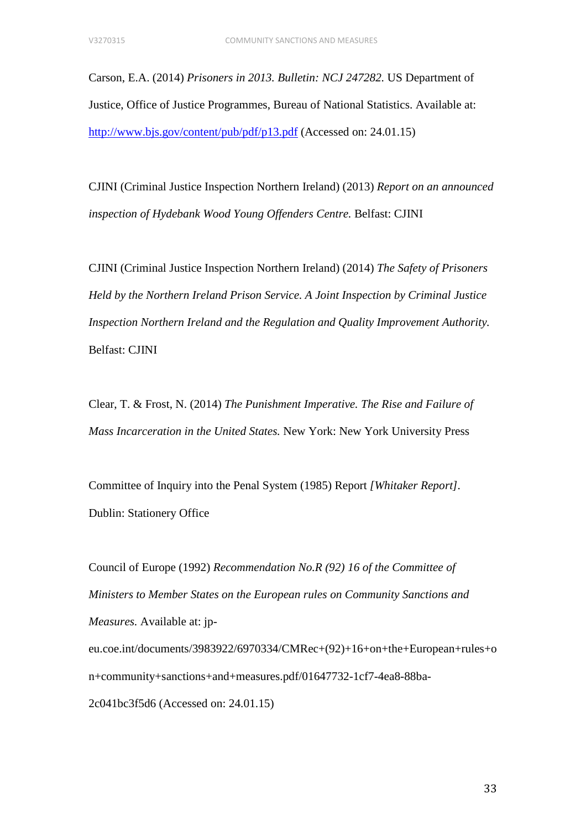Carson, E.A. (2014) *Prisoners in 2013. Bulletin: NCJ 247282.* US Department of Justice, Office of Justice Programmes, Bureau of National Statistics. Available at: <http://www.bjs.gov/content/pub/pdf/p13.pdf> (Accessed on: 24.01.15)

CJINI (Criminal Justice Inspection Northern Ireland) (2013) *Report on an announced inspection of Hydebank Wood Young Offenders Centre.* Belfast: CJINI

CJINI (Criminal Justice Inspection Northern Ireland) (2014) *The Safety of Prisoners Held by the Northern Ireland Prison Service. A Joint Inspection by Criminal Justice Inspection Northern Ireland and the Regulation and Quality Improvement Authority.* Belfast: CJINI

Clear, T. & Frost, N. (2014) *The Punishment Imperative. The Rise and Failure of Mass Incarceration in the United States.* New York: New York University Press

Committee of Inquiry into the Penal System (1985) Report *[Whitaker Report].*  Dublin: Stationery Office

Council of Europe (1992) *Recommendation No.R (92) 16 of the Committee of Ministers to Member States on the European rules on Community Sanctions and Measures.* Available at: jpeu.coe.int/documents/3983922/6970334/CMRec+(92)+16+on+the+European+rules+o n+community+sanctions+and+measures.pdf/01647732-1cf7-4ea8-88ba-2c041bc3f5d6 (Accessed on: 24.01.15)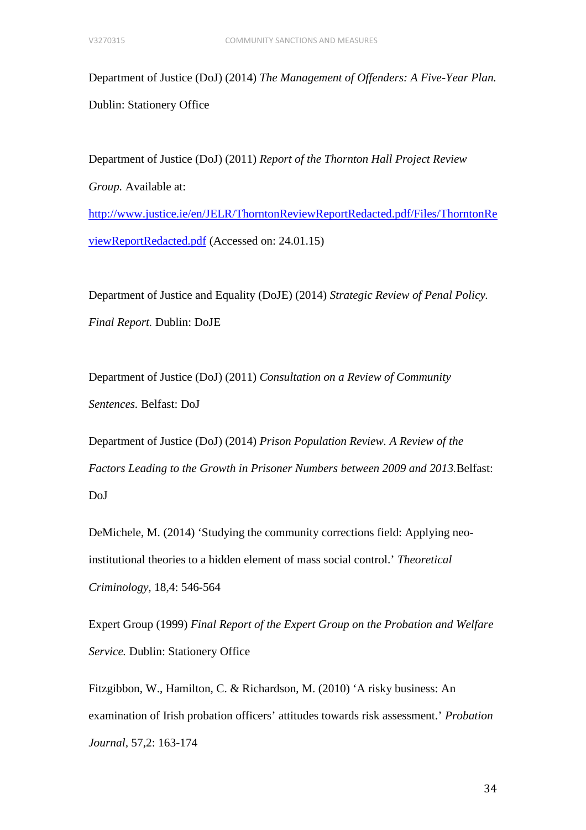Department of Justice (DoJ) (2014) *The Management of Offenders: A Five-Year Plan.*  Dublin: Stationery Office

Department of Justice (DoJ) (2011) *Report of the Thornton Hall Project Review Group.* Available at: [http://www.justice.ie/en/JELR/ThorntonReviewReportRedacted.pdf/Files/ThorntonRe](http://www.justice.ie/en/JELR/ThorntonReviewReportRedacted.pdf/Files/ThorntonReviewReportRedacted.pdf) [viewReportRedacted.pdf](http://www.justice.ie/en/JELR/ThorntonReviewReportRedacted.pdf/Files/ThorntonReviewReportRedacted.pdf) (Accessed on: 24.01.15)

Department of Justice and Equality (DoJE) (2014) *Strategic Review of Penal Policy. Final Report.* Dublin: DoJE

Department of Justice (DoJ) (2011) *Consultation on a Review of Community Sentences.* Belfast: DoJ

Department of Justice (DoJ) (2014) *Prison Population Review. A Review of the Factors Leading to the Growth in Prisoner Numbers between 2009 and 2013.*Belfast: DoJ

DeMichele, M. (2014) 'Studying the community corrections field: Applying neoinstitutional theories to a hidden element of mass social control.' *Theoretical Criminology,* 18,4: 546-564

Expert Group (1999) *Final Report of the Expert Group on the Probation and Welfare Service.* Dublin: Stationery Office

Fitzgibbon, W., Hamilton, C. & Richardson, M. (2010) 'A risky business: An examination of Irish probation officers' attitudes towards risk assessment.' *Probation Journal,* 57,2: 163-174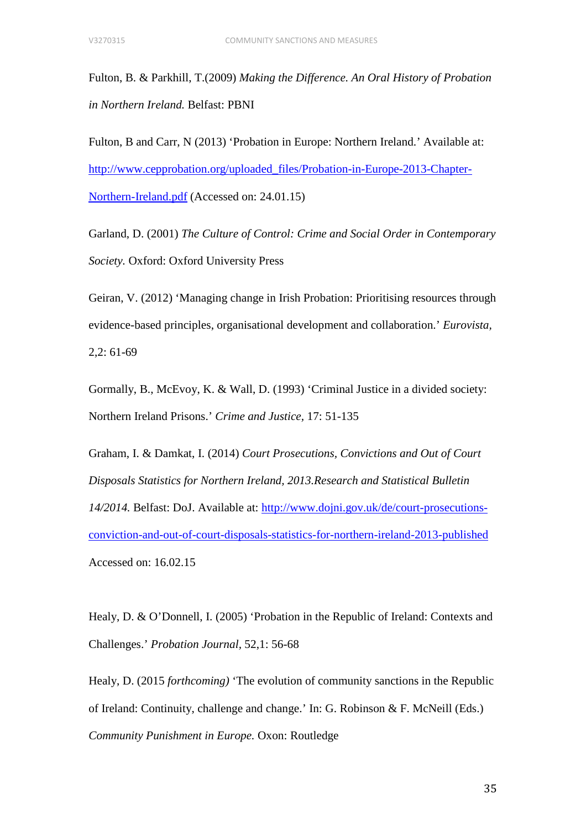Fulton, B. & Parkhill, T.(2009) *Making the Difference. An Oral History of Probation in Northern Ireland.* Belfast: PBNI

Fulton, B and Carr, N (2013) 'Probation in Europe: Northern Ireland.' Available at: [http://www.cepprobation.org/uploaded\\_files/Probation-in-Europe-2013-Chapter-](http://www.cepprobation.org/uploaded_files/Probation-in-Europe-2013-Chapter-Northern-Ireland.pdf)[Northern-Ireland.pdf](http://www.cepprobation.org/uploaded_files/Probation-in-Europe-2013-Chapter-Northern-Ireland.pdf) (Accessed on: 24.01.15)

Garland, D. (2001) *The Culture of Control: Crime and Social Order in Contemporary Society.* Oxford: Oxford University Press

Geiran, V. (2012) 'Managing change in Irish Probation: Prioritising resources through evidence-based principles, organisational development and collaboration.' *Eurovista,*  2,2: 61-69

Gormally, B., McEvoy, K. & Wall, D. (1993) 'Criminal Justice in a divided society: Northern Ireland Prisons.' *Crime and Justice,* 17: 51-135

Graham, I. & Damkat, I. (2014) *Court Prosecutions, Convictions and Out of Court Disposals Statistics for Northern Ireland, 2013.Research and Statistical Bulletin 14/2014.* Belfast: DoJ. Available at: [http://www.dojni.gov.uk/de/court-prosecutions](http://www.dojni.gov.uk/de/court-prosecutions-conviction-and-out-of-court-disposals-statistics-for-northern-ireland-2013-published)[conviction-and-out-of-court-disposals-statistics-for-northern-ireland-2013-published](http://www.dojni.gov.uk/de/court-prosecutions-conviction-and-out-of-court-disposals-statistics-for-northern-ireland-2013-published) Accessed on: 16.02.15

Healy, D. & O'Donnell, I. (2005) 'Probation in the Republic of Ireland: Contexts and Challenges.' *Probation Journal,* 52,1: 56-68

Healy, D. (2015 *forthcoming)* 'The evolution of community sanctions in the Republic of Ireland: Continuity, challenge and change.' In: G. Robinson & F. McNeill (Eds.) *Community Punishment in Europe.* Oxon: Routledge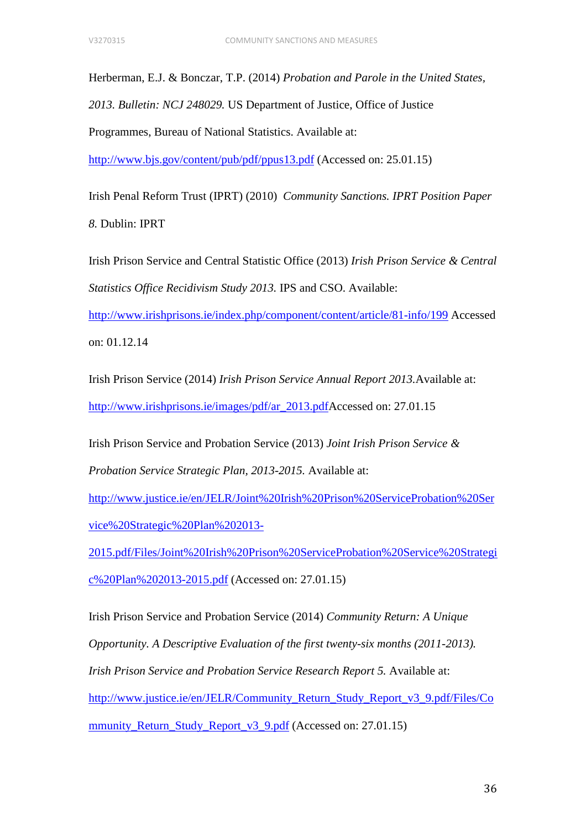Herberman, E.J. & Bonczar, T.P. (2014) *Probation and Parole in the United States,* 

*2013. Bulletin: NCJ 248029.* US Department of Justice, Office of Justice

Programmes, Bureau of National Statistics. Available at:

<http://www.bjs.gov/content/pub/pdf/ppus13.pdf> (Accessed on: 25.01.15)

Irish Penal Reform Trust (IPRT) (2010) *Community Sanctions. IPRT Position Paper 8.* Dublin: IPRT

Irish Prison Service and Central Statistic Office (2013) *Irish Prison Service & Central Statistics Office Recidivism Study 2013.* IPS and CSO. Available:

<http://www.irishprisons.ie/index.php/component/content/article/81-info/199> Accessed on: 01.12.14

Irish Prison Service (2014) *Irish Prison Service Annual Report 2013.*Available at: [http://www.irishprisons.ie/images/pdf/ar\\_2013.pdfA](http://www.irishprisons.ie/images/pdf/ar_2013.pdf)ccessed on: 27.01.15

Irish Prison Service and Probation Service (2013) *Joint Irish Prison Service & Probation Service Strategic Plan, 2013-2015.* Available at:

[http://www.justice.ie/en/JELR/Joint%20Irish%20Prison%20ServiceProbation%20Ser](http://www.justice.ie/en/JELR/Joint%20Irish%20Prison%20ServiceProbation%20Service%20Strategic%20Plan%202013-2015.pdf/Files/Joint%20Irish%20Prison%20ServiceProbation%20Service%20Strategic%20Plan%202013-2015.pdf) [vice%20Strategic%20Plan%202013-](http://www.justice.ie/en/JELR/Joint%20Irish%20Prison%20ServiceProbation%20Service%20Strategic%20Plan%202013-2015.pdf/Files/Joint%20Irish%20Prison%20ServiceProbation%20Service%20Strategic%20Plan%202013-2015.pdf)

[2015.pdf/Files/Joint%20Irish%20Prison%20ServiceProbation%20Service%20Strategi](http://www.justice.ie/en/JELR/Joint%20Irish%20Prison%20ServiceProbation%20Service%20Strategic%20Plan%202013-2015.pdf/Files/Joint%20Irish%20Prison%20ServiceProbation%20Service%20Strategic%20Plan%202013-2015.pdf) [c%20Plan%202013-2015.pdf](http://www.justice.ie/en/JELR/Joint%20Irish%20Prison%20ServiceProbation%20Service%20Strategic%20Plan%202013-2015.pdf/Files/Joint%20Irish%20Prison%20ServiceProbation%20Service%20Strategic%20Plan%202013-2015.pdf) (Accessed on: 27.01.15)

Irish Prison Service and Probation Service (2014) *Community Return: A Unique Opportunity. A Descriptive Evaluation of the first twenty-six months (2011-2013). Irish Prison Service and Probation Service Research Report 5. Available at:* [http://www.justice.ie/en/JELR/Community\\_Return\\_Study\\_Report\\_v3\\_9.pdf/Files/Co](http://www.justice.ie/en/JELR/Community_Return_Study_Report_v3_9.pdf/Files/Community_Return_Study_Report_v3_9.pdf) [mmunity\\_Return\\_Study\\_Report\\_v3\\_9.pdf](http://www.justice.ie/en/JELR/Community_Return_Study_Report_v3_9.pdf/Files/Community_Return_Study_Report_v3_9.pdf) (Accessed on: 27.01.15)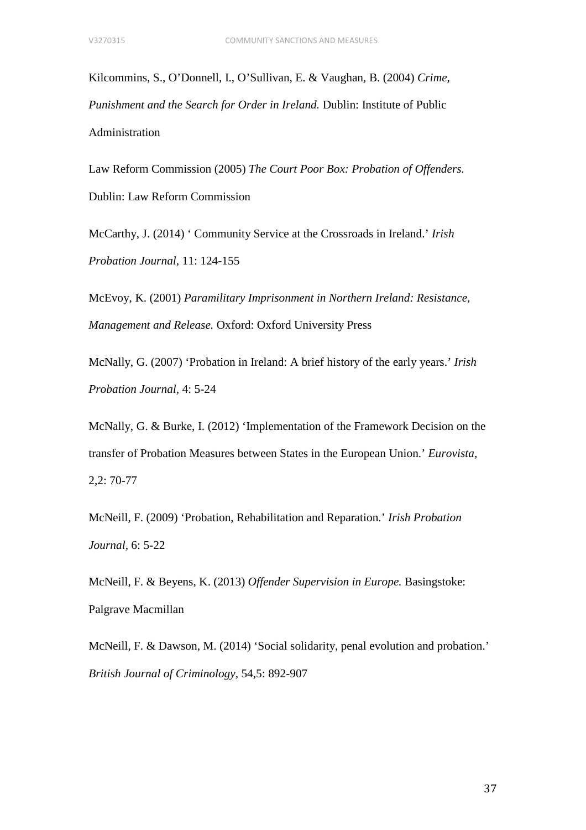Kilcommins, S., O'Donnell, I., O'Sullivan, E. & Vaughan, B. (2004) *Crime, Punishment and the Search for Order in Ireland.* Dublin: Institute of Public Administration

Law Reform Commission (2005) *The Court Poor Box: Probation of Offenders.*  Dublin: Law Reform Commission

McCarthy, J. (2014) ' Community Service at the Crossroads in Ireland.' *Irish Probation Journal,* 11: 124-155

McEvoy, K. (2001) *Paramilitary Imprisonment in Northern Ireland: Resistance, Management and Release.* Oxford: Oxford University Press

McNally, G. (2007) 'Probation in Ireland: A brief history of the early years.' *Irish Probation Journal,* 4: 5-24

McNally, G. & Burke, I. (2012) 'Implementation of the Framework Decision on the transfer of Probation Measures between States in the European Union.' *Eurovista,*  2,2: 70-77

McNeill, F. (2009) 'Probation, Rehabilitation and Reparation.' *Irish Probation Journal,* 6: 5-22

McNeill, F. & Beyens, K. (2013) *Offender Supervision in Europe.* Basingstoke: Palgrave Macmillan

McNeill, F. & Dawson, M. (2014) 'Social solidarity, penal evolution and probation.' *British Journal of Criminology,* 54,5: 892-907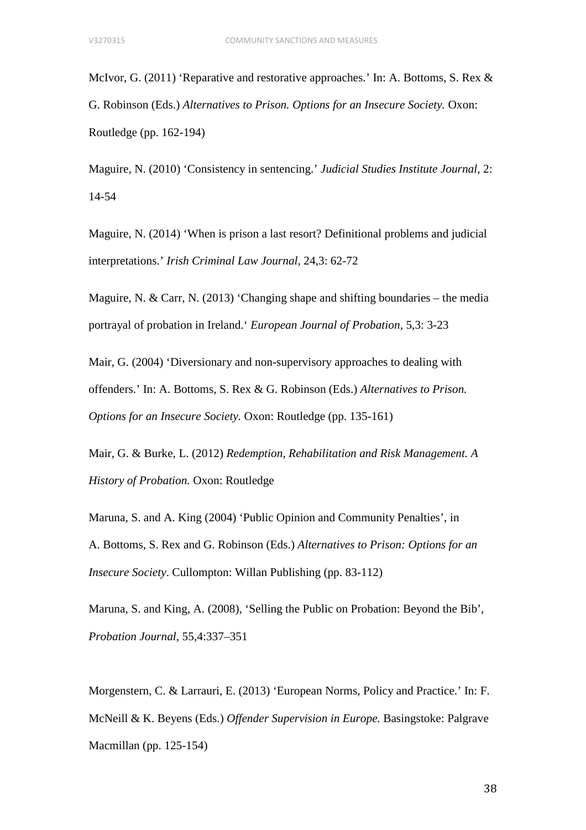McIvor, G. (2011) 'Reparative and restorative approaches.' In: A. Bottoms, S. Rex & G. Robinson (Eds.) *Alternatives to Prison. Options for an Insecure Society.* Oxon: Routledge (pp. 162-194)

Maguire, N. (2010) 'Consistency in sentencing.' *Judicial Studies Institute Journal,* 2: 14-54

Maguire, N. (2014) 'When is prison a last resort? Definitional problems and judicial interpretations.' *Irish Criminal Law Journal,* 24,3: 62-72

Maguire, N. & Carr, N. (2013) 'Changing shape and shifting boundaries – the media portrayal of probation in Ireland.' *European Journal of Probation,* 5,3: 3-23

Mair, G. (2004) 'Diversionary and non-supervisory approaches to dealing with offenders.' In: A. Bottoms, S. Rex & G. Robinson (Eds.) *Alternatives to Prison. Options for an Insecure Society.* Oxon: Routledge (pp. 135-161)

Mair, G. & Burke, L. (2012) *Redemption, Rehabilitation and Risk Management. A History of Probation.* Oxon: Routledge

Maruna, S. and A. King (2004) 'Public Opinion and Community Penalties', in A. Bottoms, S. Rex and G. Robinson (Eds.) *Alternatives to Prison: Options for an Insecure Society*. Cullompton: Willan Publishing (pp. 83-112)

Maruna, S. and King, A. (2008), 'Selling the Public on Probation: Beyond the Bib', *Probation Journal*, 55,4:337–351

Morgenstern, C. & Larrauri, E. (2013) 'European Norms, Policy and Practice.' In: F. McNeill & K. Beyens (Eds.) *Offender Supervision in Europe.* Basingstoke: Palgrave Macmillan (pp. 125-154)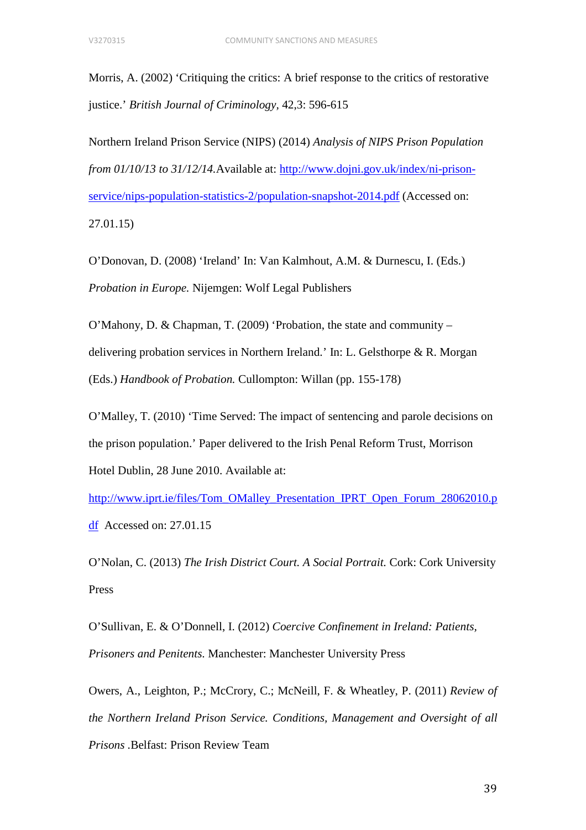Morris, A. (2002) 'Critiquing the critics: A brief response to the critics of restorative justice.' *British Journal of Criminology,* 42,3: 596-615

Northern Ireland Prison Service (NIPS) (2014) *Analysis of NIPS Prison Population from 01/10/13 to 31/12/14.*Available at: [http://www.dojni.gov.uk/index/ni-prison](http://www.dojni.gov.uk/index/ni-prison-service/nips-population-statistics-2/population-snapshot-2014.pdf)[service/nips-population-statistics-2/population-snapshot-2014.pdf](http://www.dojni.gov.uk/index/ni-prison-service/nips-population-statistics-2/population-snapshot-2014.pdf) (Accessed on: 27.01.15)

O'Donovan, D. (2008) 'Ireland' In: Van Kalmhout, A.M. & Durnescu, I. (Eds.) *Probation in Europe.* Nijemgen: Wolf Legal Publishers

O'Mahony, D. & Chapman, T. (2009) 'Probation, the state and community – delivering probation services in Northern Ireland.' In: L. Gelsthorpe & R. Morgan (Eds.) *Handbook of Probation.* Cullompton: Willan (pp. 155-178)

O'Malley, T. (2010) 'Time Served: The impact of sentencing and parole decisions on the prison population.' Paper delivered to the Irish Penal Reform Trust, Morrison Hotel Dublin, 28 June 2010. Available at:

[http://www.iprt.ie/files/Tom\\_OMalley\\_Presentation\\_IPRT\\_Open\\_Forum\\_28062010.p](http://www.iprt.ie/files/Tom_OMalley_Presentation_IPRT_Open_Forum_28062010.pdf) [df](http://www.iprt.ie/files/Tom_OMalley_Presentation_IPRT_Open_Forum_28062010.pdf) Accessed on: 27.01.15

O'Nolan, C. (2013) *The Irish District Court. A Social Portrait.* Cork: Cork University Press

O'Sullivan, E. & O'Donnell, I. (2012) *Coercive Confinement in Ireland: Patients, Prisoners and Penitents.* Manchester: Manchester University Press

Owers, A., Leighton, P.; McCrory, C.; McNeill, F. & Wheatley, P. (2011) *Review of the Northern Ireland Prison Service. Conditions, Management and Oversight of all Prisons .*Belfast: Prison Review Team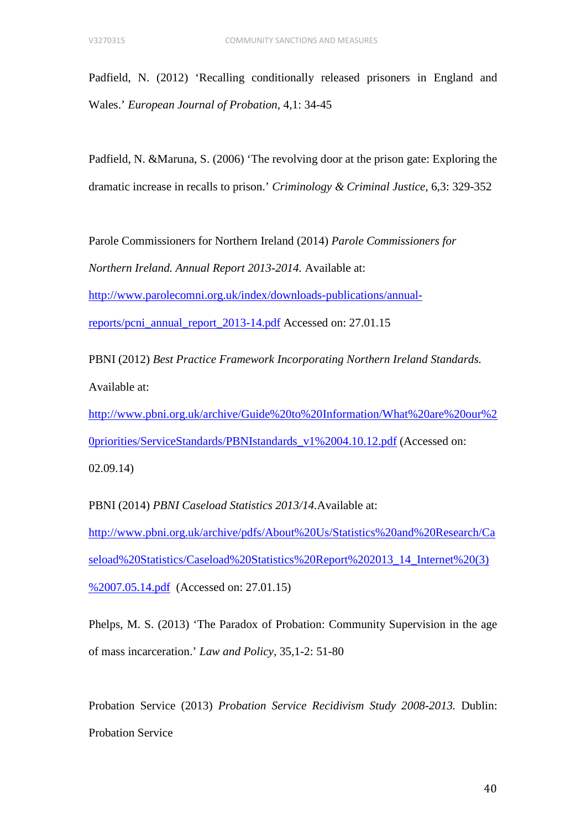Padfield, N. (2012) 'Recalling conditionally released prisoners in England and Wales.' *European Journal of Probation,* 4,1: 34-45

Padfield, N. &Maruna, S. (2006) 'The revolving door at the prison gate: Exploring the dramatic increase in recalls to prison.' *Criminology & Criminal Justice,* 6,3: 329-352

Parole Commissioners for Northern Ireland (2014) *Parole Commissioners for Northern Ireland. Annual Report 2013-2014.* Available at:

[http://www.parolecomni.org.uk/index/downloads-publications/annual-](http://www.parolecomni.org.uk/index/downloads-publications/annual-reports/pcni_annual_report_2013-14.pdf)

[reports/pcni\\_annual\\_report\\_2013-14.pdf](http://www.parolecomni.org.uk/index/downloads-publications/annual-reports/pcni_annual_report_2013-14.pdf) Accessed on: 27.01.15

PBNI (2012) *Best Practice Framework Incorporating Northern Ireland Standards.* Available at:

[http://www.pbni.org.uk/archive/Guide%20to%20Information/What%20are%20our%2](http://www.pbni.org.uk/archive/Guide%20to%20Information/What%20are%20our%20priorities/ServiceStandards/PBNIstandards_v1%2004.10.12.pdf) [0priorities/ServiceStandards/PBNIstandards\\_v1%2004.10.12.pdf](http://www.pbni.org.uk/archive/Guide%20to%20Information/What%20are%20our%20priorities/ServiceStandards/PBNIstandards_v1%2004.10.12.pdf) (Accessed on: 02.09.14)

PBNI (2014) *PBNI Caseload Statistics 2013/14.*Available at: [http://www.pbni.org.uk/archive/pdfs/About%20Us/Statistics%20and%20Research/Ca](http://www.pbni.org.uk/archive/pdfs/About%20Us/Statistics%20and%20Research/Caseload%20Statistics/Caseload%20Statistics%20Report%202013_14_Internet%20(3)%2007.05.14.pdf) [seload%20Statistics/Caseload%20Statistics%20Report%202013\\_14\\_Internet%20\(3\)](http://www.pbni.org.uk/archive/pdfs/About%20Us/Statistics%20and%20Research/Caseload%20Statistics/Caseload%20Statistics%20Report%202013_14_Internet%20(3)%2007.05.14.pdf) [%2007.05.14.pdf](http://www.pbni.org.uk/archive/pdfs/About%20Us/Statistics%20and%20Research/Caseload%20Statistics/Caseload%20Statistics%20Report%202013_14_Internet%20(3)%2007.05.14.pdf) (Accessed on: 27.01.15)

Phelps, M. S. (2013) 'The Paradox of Probation: Community Supervision in the age of mass incarceration.' *Law and Policy,* 35,1-2: 51-80

Probation Service (2013) *Probation Service Recidivism Study 2008-2013.* Dublin: Probation Service